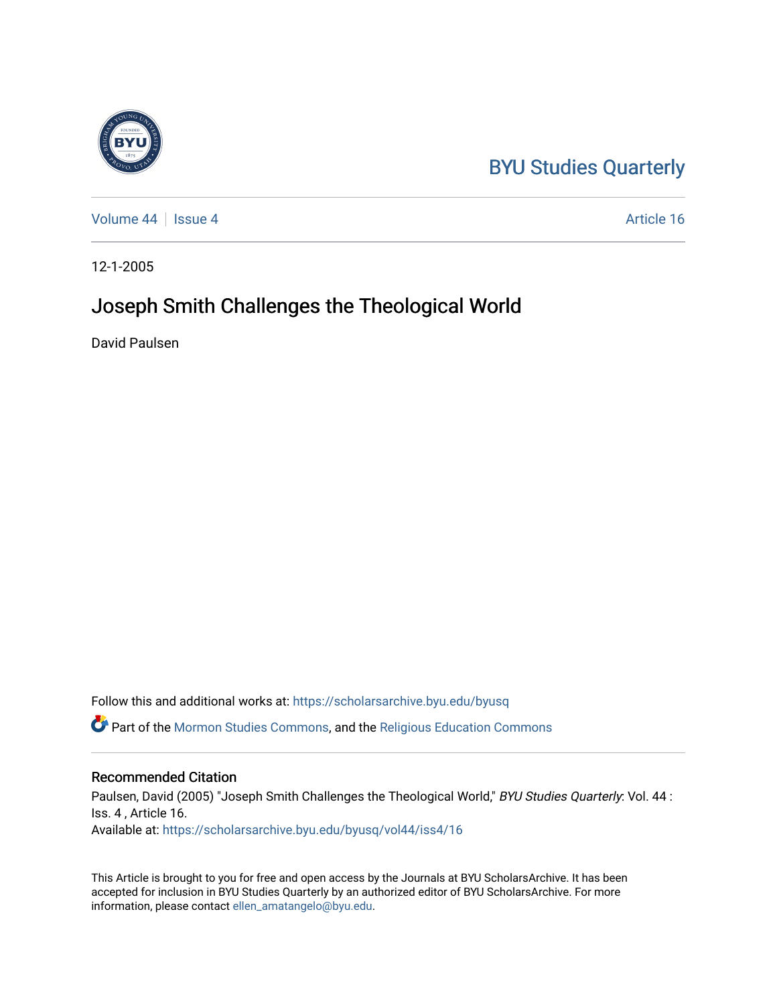# [BYU Studies Quarterly](https://scholarsarchive.byu.edu/byusq)

[Volume 44](https://scholarsarchive.byu.edu/byusq/vol44) | [Issue 4](https://scholarsarchive.byu.edu/byusq/vol44/iss4) Article 16

12-1-2005

# Joseph Smith Challenges the Theological World

David Paulsen

Follow this and additional works at: [https://scholarsarchive.byu.edu/byusq](https://scholarsarchive.byu.edu/byusq?utm_source=scholarsarchive.byu.edu%2Fbyusq%2Fvol44%2Fiss4%2F16&utm_medium=PDF&utm_campaign=PDFCoverPages) 

Part of the [Mormon Studies Commons](http://network.bepress.com/hgg/discipline/1360?utm_source=scholarsarchive.byu.edu%2Fbyusq%2Fvol44%2Fiss4%2F16&utm_medium=PDF&utm_campaign=PDFCoverPages), and the [Religious Education Commons](http://network.bepress.com/hgg/discipline/1414?utm_source=scholarsarchive.byu.edu%2Fbyusq%2Fvol44%2Fiss4%2F16&utm_medium=PDF&utm_campaign=PDFCoverPages) 

## Recommended Citation

Paulsen, David (2005) "Joseph Smith Challenges the Theological World," BYU Studies Quarterly: Vol. 44 : Iss. 4 , Article 16. Available at: [https://scholarsarchive.byu.edu/byusq/vol44/iss4/16](https://scholarsarchive.byu.edu/byusq/vol44/iss4/16?utm_source=scholarsarchive.byu.edu%2Fbyusq%2Fvol44%2Fiss4%2F16&utm_medium=PDF&utm_campaign=PDFCoverPages) 

This Article is brought to you for free and open access by the Journals at BYU ScholarsArchive. It has been accepted for inclusion in BYU Studies Quarterly by an authorized editor of BYU ScholarsArchive. For more information, please contact [ellen\\_amatangelo@byu.edu.](mailto:ellen_amatangelo@byu.edu)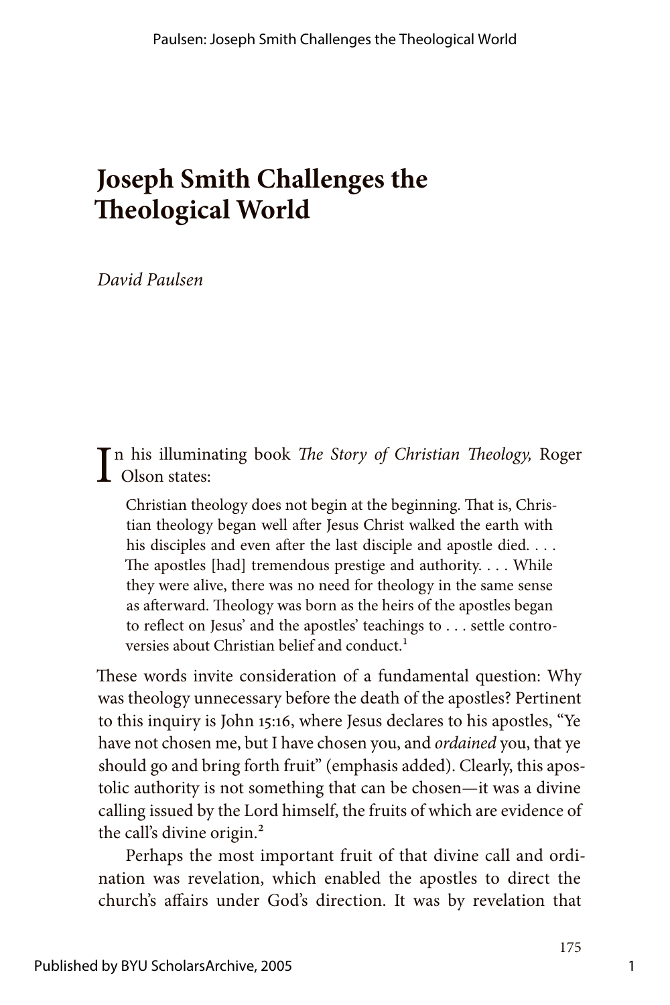# **Joseph Smith Challenges the Theological World**

*David Paulsen*

I n his illuminating book *The Story of Christian Theology,* Roger Olson states:

Christian theology does not begin at the beginning. That is, Christian theology began well after Jesus Christ walked the earth with his disciples and even after the last disciple and apostle died. . . . The apostles [had] tremendous prestige and authority. . . . While they were alive, there was no need for theology in the same sense as afterward. Theology was born as the heirs of the apostles began to reflect on Jesus' and the apostles' teachings to . . . settle controversies about Christian belief and conduct.<sup>1</sup>

These words invite consideration of a fundamental question: Why was theology unnecessary before the death of the apostles? Pertinent to this inquiry is John 15:16, where Jesus declares to his apostles, "Ye have not chosen me, but I have chosen you, and *ordained* you, that ye should go and bring forth fruit" (emphasis added). Clearly, this apostolic authority is not something that can be chosen—it was a divine calling issued by the Lord himself, the fruits of which are evidence of the call's divine origin.<sup>2</sup>

 Perhaps the most important fruit of that divine call and ordination was revelation, which enabled the apostles to direct the church's affairs under God's direction. It was by revelation that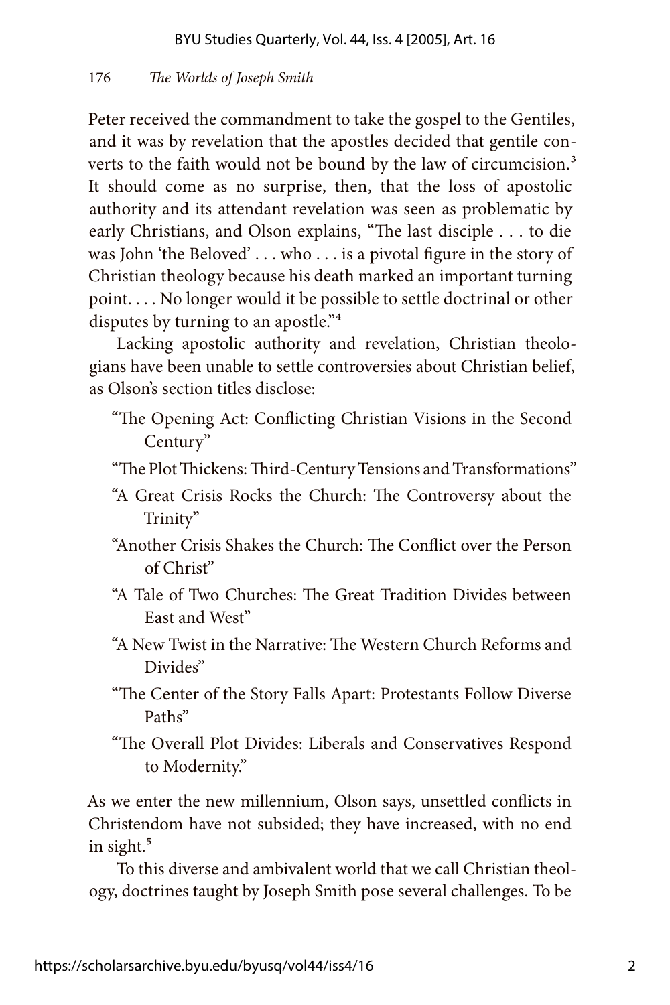Peter received the commandment to take the gospel to the Gentiles, and it was by revelation that the apostles decided that gentile converts to the faith would not be bound by the law of circumcision.<sup>3</sup> It should come as no surprise, then, that the loss of apostolic authority and its attendant revelation was seen as problematic by early Christians, and Olson explains, "The last disciple . . . to die was John 'the Beloved' . . . who . . . is a pivotal figure in the story of Christian theology because his death marked an important turning point. . . . No longer would it be possible to settle doctrinal or other disputes by turning to an apostle."<sup>4</sup>

 Lacking apostolic authority and revelation, Christian theologians have been unable to settle controversies about Christian belief, as Olson's section titles disclose:

- "The Opening Act: Conflicting Christian Visions in the Second Century"
- "The Plot Thickens: Third-Century Tensions and Transformations"
- "A Great Crisis Rocks the Church: The Controversy about the Trinity"
- "Another Crisis Shakes the Church: The Conflict over the Person of Christ"
- "A Tale of Two Churches: The Great Tradition Divides between East and West"
- "A New Twist in the Narrative: The Western Church Reforms and Divides"
- "The Center of the Story Falls Apart: Protestants Follow Diverse Paths"
- "The Overall Plot Divides: Liberals and Conservatives Respond to Modernity."

As we enter the new millennium, Olson says, unsettled conflicts in Christendom have not subsided; they have increased, with no end in sight.<sup>5</sup>

 To this diverse and ambivalent world that we call Christian theology, doctrines taught by Joseph Smith pose several challenges. To be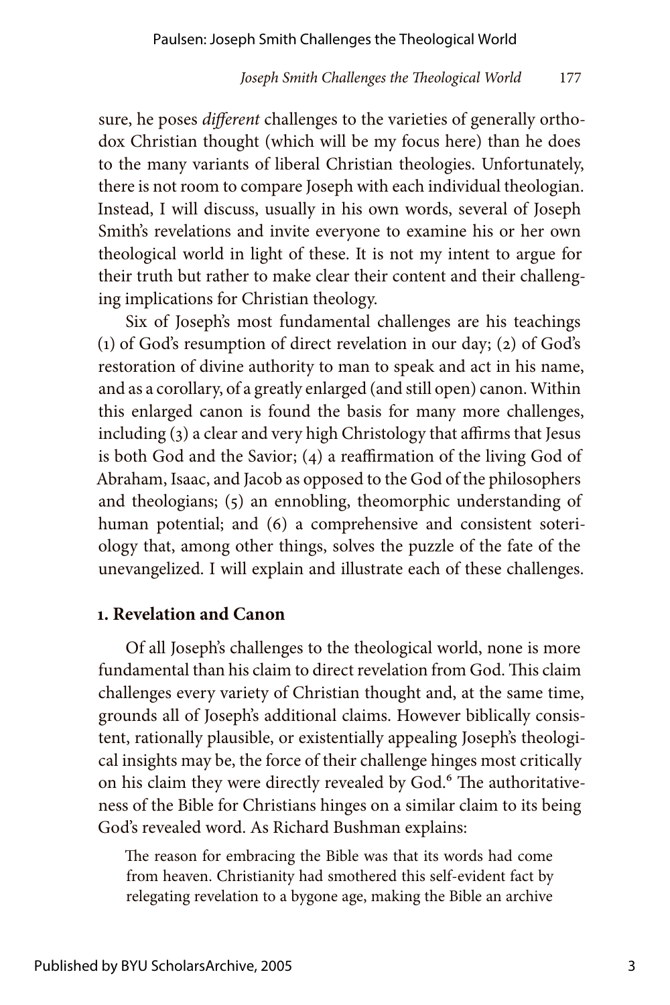sure, he poses *different* challenges to the varieties of generally orthodox Christian thought (which will be my focus here) than he does to the many variants of liberal Christian theologies. Unfortunately, there is not room to compare Joseph with each individual theologian. Instead, I will discuss, usually in his own words, several of Joseph Smith's revelations and invite everyone to examine his or her own theological world in light of these. It is not my intent to argue for their truth but rather to make clear their content and their challenging implications for Christian theology.

 Six of Joseph's most fundamental challenges are his teachings () of God's resumption of direct revelation in our day; (2) of God's restoration of divine authority to man to speak and act in his name, and as a corollary, of a greatly enlarged (and still open) canon. Within this enlarged canon is found the basis for many more challenges, including (3) a clear and very high Christology that affirms that Jesus is both God and the Savior; (4) a reaffirmation of the living God of Abraham, Isaac, and Jacob as opposed to the God of the philosophers and theologians; (5) an ennobling, theomorphic understanding of human potential; and (6) a comprehensive and consistent soteriology that, among other things, solves the puzzle of the fate of the unevangelized. I will explain and illustrate each of these challenges.

## **. Revelation and Canon**

 Of all Joseph's challenges to the theological world, none is more fundamental than his claim to direct revelation from God. This claim challenges every variety of Christian thought and, at the same time, grounds all of Joseph's additional claims. However biblically consistent, rationally plausible, or existentially appealing Joseph's theological insights may be, the force of their challenge hinges most critically on his claim they were directly revealed by God.<sup>6</sup> The authoritativeness of the Bible for Christians hinges on a similar claim to its being God's revealed word. As Richard Bushman explains:

The reason for embracing the Bible was that its words had come from heaven. Christianity had smothered this self-evident fact by relegating revelation to a bygone age, making the Bible an archive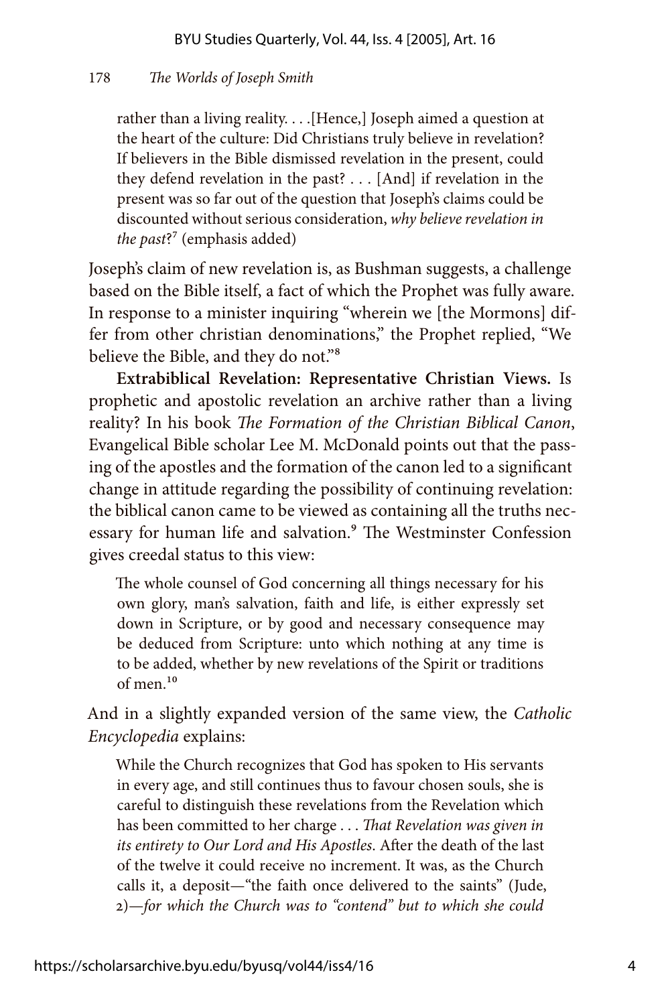rather than a living reality. . . .[Hence,] Joseph aimed a question at the heart of the culture: Did Christians truly believe in revelation? If believers in the Bible dismissed revelation in the present, could they defend revelation in the past? . . . [And] if revelation in the present was so far out of the question that Joseph's claims could be discounted without serious consideration, *why believe revelation in the past*?⁷ (emphasis added)

Joseph's claim of new revelation is, as Bushman suggests, a challenge based on the Bible itself, a fact of which the Prophet was fully aware. In response to a minister inquiring "wherein we [the Mormons] differ from other christian denominations," the Prophet replied, "We believe the Bible, and they do not."<sup>8</sup>

**Extrabiblical Revelation: Representative Christian Views.** Is prophetic and apostolic revelation an archive rather than a living reality? In his book *The Formation of the Christian Biblical Canon*, Evangelical Bible scholar Lee M. McDonald points out that the passing of the apostles and the formation of the canon led to a significant change in attitude regarding the possibility of continuing revelation: the biblical canon came to be viewed as containing all the truths necessary for human life and salvation.<sup>9</sup> The Westminster Confession gives creedal status to this view:

The whole counsel of God concerning all things necessary for his own glory, man's salvation, faith and life, is either expressly set down in Scripture, or by good and necessary consequence may be deduced from Scripture: unto which nothing at any time is to be added, whether by new revelations of the Spirit or traditions of men. $^{10}$ 

And in a slightly expanded version of the same view, the *Catholic Encyclopedia* explains:

While the Church recognizes that God has spoken to His servants in every age, and still continues thus to favour chosen souls, she is careful to distinguish these revelations from the Revelation which has been committed to her charge . . . *That Revelation was given in its entirety to Our Lord and His Apostles*. After the death of the last of the twelve it could receive no increment. It was, as the Church calls it, a deposit—"the faith once delivered to the saints" (Jude, 2)—*for which the Church was to "contend" but to which she could*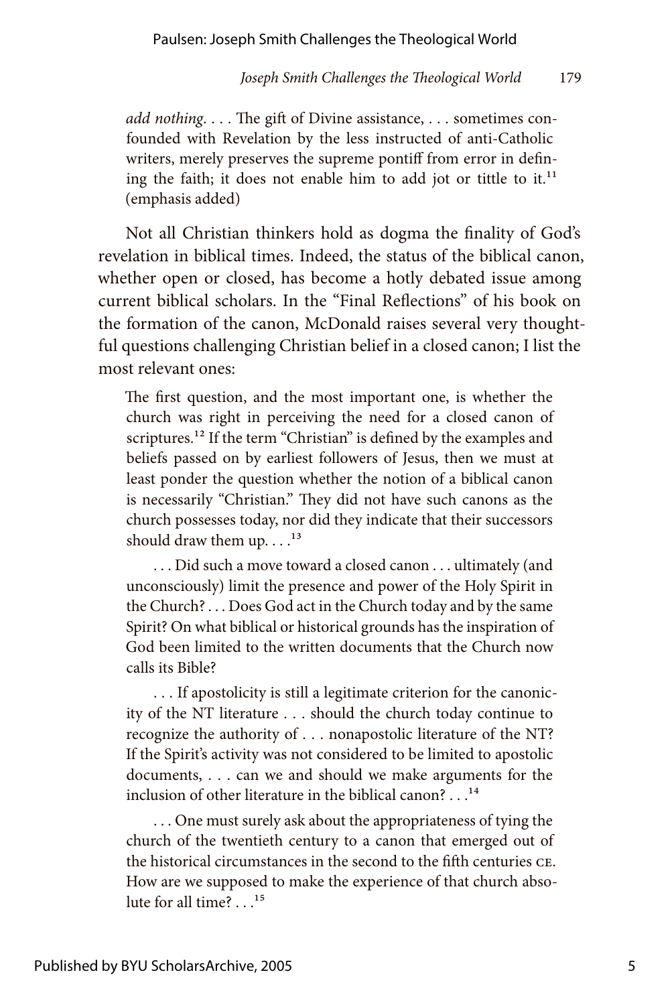*add nothing*. . . . The gift of Divine assistance, . . . sometimes confounded with Revelation by the less instructed of anti-Catholic writers, merely preserves the supreme pontiff from error in defining the faith; it does not enable him to add jot or tittle to it.<sup>11</sup> (emphasis added)

 Not all Christian thinkers hold as dogma the finality of God's revelation in biblical times. Indeed, the status of the biblical canon, whether open or closed, has become a hotly debated issue among current biblical scholars. In the "Final Reflections" of his book on the formation of the canon, McDonald raises several very thoughtful questions challenging Christian belief in a closed canon; I list the most relevant ones:

The first question, and the most important one, is whether the church was right in perceiving the need for a closed canon of scriptures.<sup>12</sup> If the term "Christian" is defined by the examples and beliefs passed on by earliest followers of Jesus, then we must at least ponder the question whether the notion of a biblical canon is necessarily "Christian." They did not have such canons as the church possesses today, nor did they indicate that their successors should draw them up.  $\ldots$ <sup>13</sup>

 . . . Did such a move toward a closed canon . . . ultimately (and unconsciously) limit the presence and power of the Holy Spirit in the Church? . . . Does God act in the Church today and by the same Spirit? On what biblical or historical grounds has the inspiration of God been limited to the written documents that the Church now calls its Bible?

 . . . If apostolicity is still a legitimate criterion for the canonicity of the NT literature . . . should the church today continue to recognize the authority of . . . nonapostolic literature of the NT? If the Spirit's activity was not considered to be limited to apostolic documents, . . . can we and should we make arguments for the inclusion of other literature in the biblical canon?  $\dots$ <sup>14</sup>

 . . . One must surely ask about the appropriateness of tying the church of the twentieth century to a canon that emerged out of the historical circumstances in the second to the fifth centuries ce. How are we supposed to make the experience of that church absolute for all time?  $\ldots$ <sup>15</sup>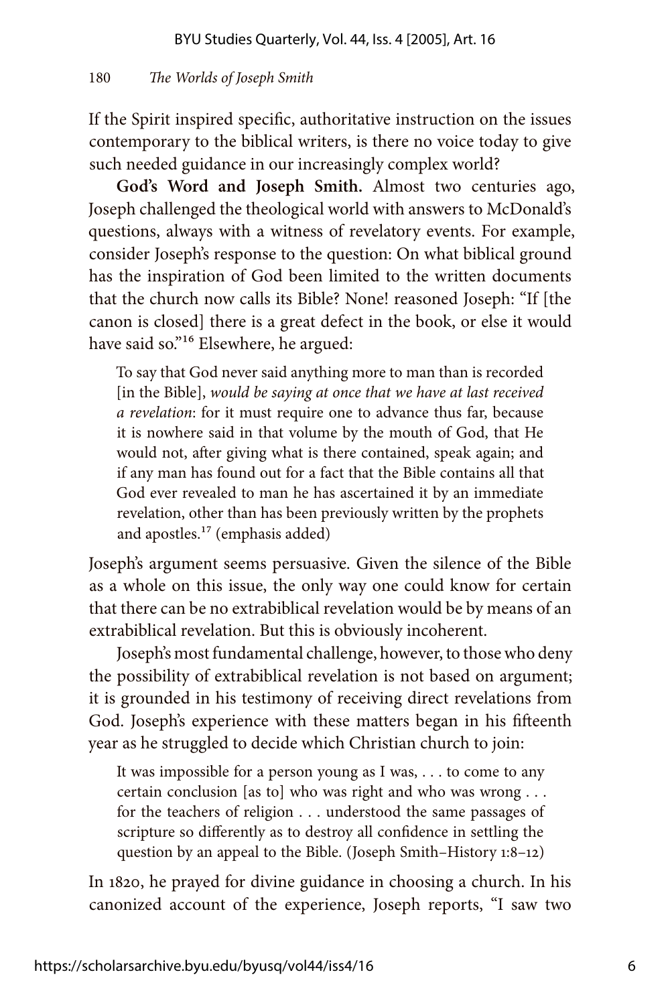If the Spirit inspired specific, authoritative instruction on the issues contemporary to the biblical writers, is there no voice today to give such needed guidance in our increasingly complex world?

**God's Word and Joseph Smith.** Almost two centuries ago, Joseph challenged the theological world with answers to McDonald's questions, always with a witness of revelatory events. For example, consider Joseph's response to the question: On what biblical ground has the inspiration of God been limited to the written documents that the church now calls its Bible? None! reasoned Joseph: "If [the canon is closed] there is a great defect in the book, or else it would have said so."<sup>16</sup> Elsewhere, he argued:

To say that God never said anything more to man than is recorded [in the Bible], *would be saying at once that we have at last received a revelation*: for it must require one to advance thus far, because it is nowhere said in that volume by the mouth of God, that He would not, after giving what is there contained, speak again; and if any man has found out for a fact that the Bible contains all that God ever revealed to man he has ascertained it by an immediate revelation, other than has been previously written by the prophets and apostles.<sup>17</sup> (emphasis added)

Joseph's argument seems persuasive. Given the silence of the Bible as a whole on this issue, the only way one could know for certain that there can be no extrabiblical revelation would be by means of an extrabiblical revelation. But this is obviously incoherent.

 Joseph's most fundamental challenge, however, to those who deny the possibility of extrabiblical revelation is not based on argument; it is grounded in his testimony of receiving direct revelations from God. Joseph's experience with these matters began in his fifteenth year as he struggled to decide which Christian church to join:

It was impossible for a person young as I was, . . . to come to any certain conclusion [as to] who was right and who was wrong . . . for the teachers of religion . . . understood the same passages of scripture so differently as to destroy all confidence in settling the question by an appeal to the Bible. (Joseph Smith–History 1:8–12)

In 820, he prayed for divine guidance in choosing a church. In his canonized account of the experience, Joseph reports, "I saw two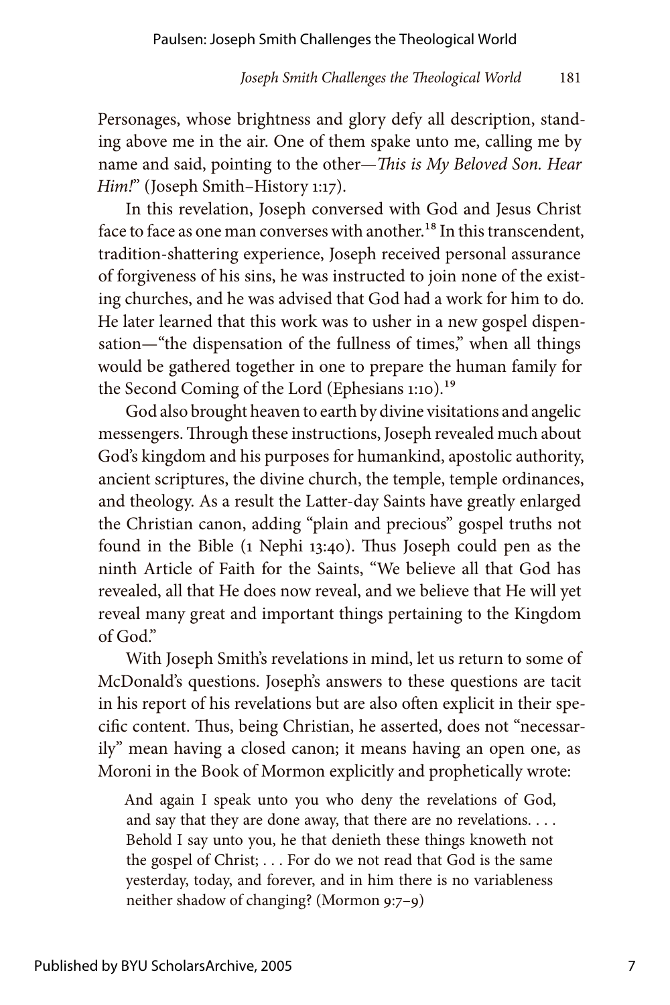Personages, whose brightness and glory defy all description, standing above me in the air. One of them spake unto me, calling me by name and said, pointing to the other—*This is My Beloved Son. Hear Him!*" (Joseph Smith-History 1:17).

 In this revelation, Joseph conversed with God and Jesus Christ face to face as one man converses with another.<sup>18</sup> In this transcendent, tradition-shattering experience, Joseph received personal assurance of forgiveness of his sins, he was instructed to join none of the existing churches, and he was advised that God had a work for him to do. He later learned that this work was to usher in a new gospel dispensation—"the dispensation of the fullness of times," when all things would be gathered together in one to prepare the human family for the Second Coming of the Lord (Ephesians 1:10).<sup>19</sup>

 God also brought heaven to earth by divine visitations and angelic messengers. Through these instructions, Joseph revealed much about God's kingdom and his purposes for humankind, apostolic authority, ancient scriptures, the divine church, the temple, temple ordinances, and theology. As a result the Latter-day Saints have greatly enlarged the Christian canon, adding "plain and precious" gospel truths not found in the Bible  $(1$  Nephi 13:40). Thus Joseph could pen as the ninth Article of Faith for the Saints, "We believe all that God has revealed, all that He does now reveal, and we believe that He will yet reveal many great and important things pertaining to the Kingdom of God."

 With Joseph Smith's revelations in mind, let us return to some of McDonald's questions. Joseph's answers to these questions are tacit in his report of his revelations but are also often explicit in their specific content. Thus, being Christian, he asserted, does not "necessarily" mean having a closed canon; it means having an open one, as Moroni in the Book of Mormon explicitly and prophetically wrote:

And again I speak unto you who deny the revelations of God, and say that they are done away, that there are no revelations. . . . Behold I say unto you, he that denieth these things knoweth not the gospel of Christ; . . . For do we not read that God is the same yesterday, today, and forever, and in him there is no variableness neither shadow of changing? (Mormon 9:7–9)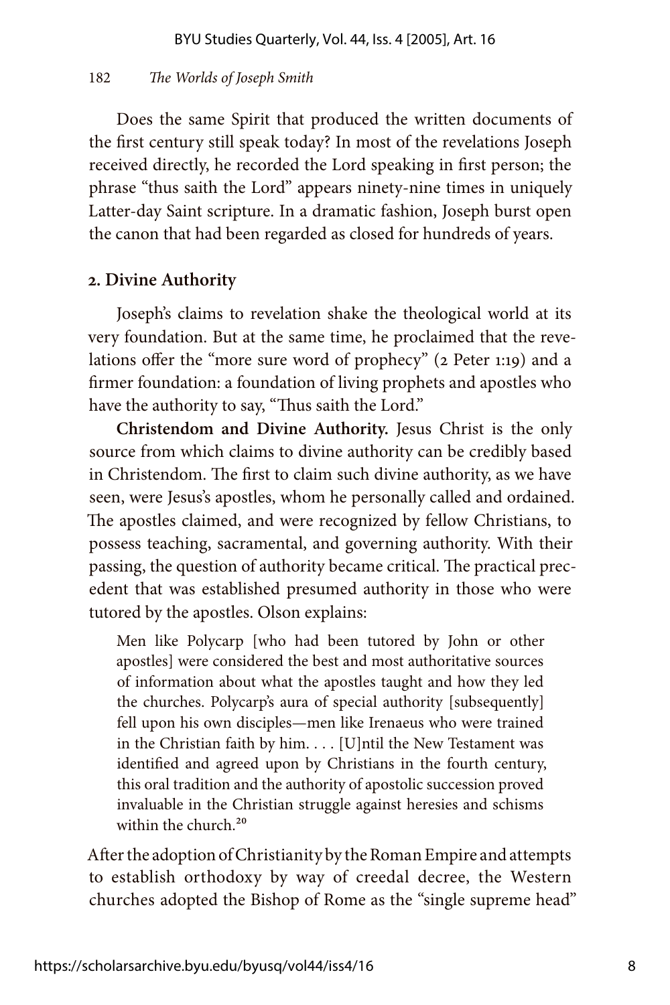Does the same Spirit that produced the written documents of the first century still speak today? In most of the revelations Joseph received directly, he recorded the Lord speaking in first person; the phrase "thus saith the Lord" appears ninety-nine times in uniquely Latter-day Saint scripture. In a dramatic fashion, Joseph burst open the canon that had been regarded as closed for hundreds of years.

## **2. Divine Authority**

 Joseph's claims to revelation shake the theological world at its very foundation. But at the same time, he proclaimed that the revelations offer the "more sure word of prophecy" (2 Peter 1:19) and a firmer foundation: a foundation of living prophets and apostles who have the authority to say, "Thus saith the Lord."

**Christendom and Divine Authority.** Jesus Christ is the only source from which claims to divine authority can be credibly based in Christendom. The first to claim such divine authority, as we have seen, were Jesus's apostles, whom he personally called and ordained. The apostles claimed, and were recognized by fellow Christians, to possess teaching, sacramental, and governing authority. With their passing, the question of authority became critical. The practical precedent that was established presumed authority in those who were tutored by the apostles. Olson explains:

Men like Polycarp [who had been tutored by John or other apostles] were considered the best and most authoritative sources of information about what the apostles taught and how they led the churches. Polycarp's aura of special authority [subsequently] fell upon his own disciples—men like Irenaeus who were trained in the Christian faith by him. . . . [U]ntil the New Testament was identified and agreed upon by Christians in the fourth century, this oral tradition and the authority of apostolic succession proved invaluable in the Christian struggle against heresies and schisms within the church.<sup>20</sup>

After the adoption of Christianity by the Roman Empire and attempts to establish orthodoxy by way of creedal decree, the Western churches adopted the Bishop of Rome as the "single supreme head"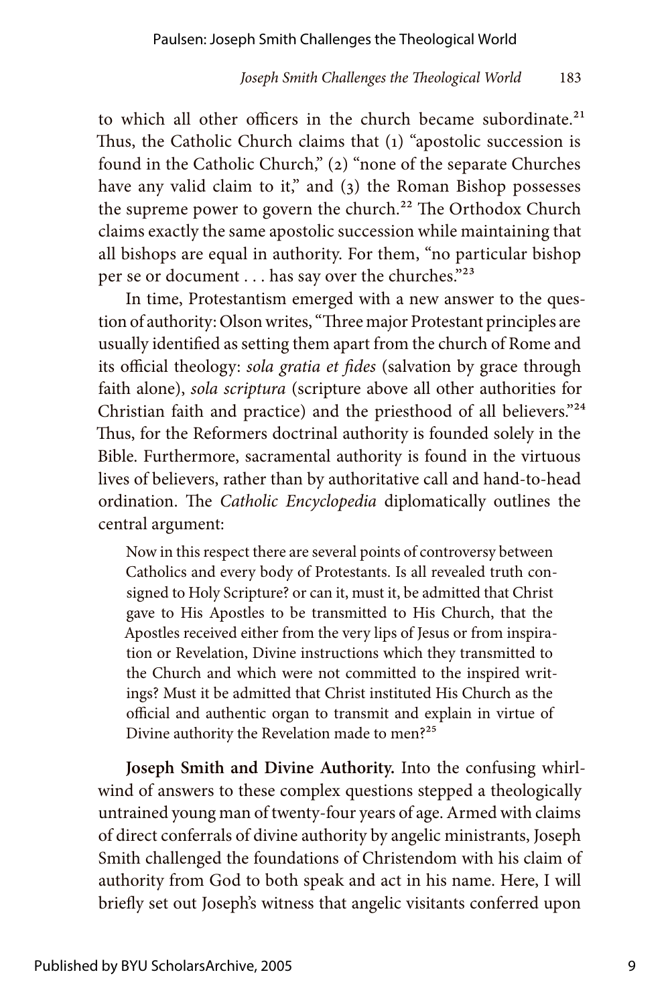to which all other officers in the church became subordinate.<sup>21</sup> Thus, the Catholic Church claims that (1) "apostolic succession is found in the Catholic Church," (2) "none of the separate Churches have any valid claim to it," and (3) the Roman Bishop possesses the supreme power to govern the church.<sup>22</sup> The Orthodox Church claims exactly the same apostolic succession while maintaining that all bishops are equal in authority. For them, "no particular bishop per se or document . . . has say over the churches."<sup>23</sup>

 In time, Protestantism emerged with a new answer to the question of authority: Olson writes, "Three major Protestant principles are usually identified as setting them apart from the church of Rome and its official theology: *sola gratia et fides* (salvation by grace through faith alone), *sola scriptura* (scripture above all other authorities for Christian faith and practice) and the priesthood of all believers."<sup>24</sup> Thus, for the Reformers doctrinal authority is founded solely in the Bible. Furthermore, sacramental authority is found in the virtuous lives of believers, rather than by authoritative call and hand-to-head ordination. The *Catholic Encyclopedia* diplomatically outlines the central argument:

Now in this respect there are several points of controversy between Catholics and every body of Protestants. Is all revealed truth consigned to Holy Scripture? or can it, must it, be admitted that Christ gave to His Apostles to be transmitted to His Church, that the Apostles received either from the very lips of Jesus or from inspiration or Revelation, Divine instructions which they transmitted to the Church and which were not committed to the inspired writings? Must it be admitted that Christ instituted His Church as the official and authentic organ to transmit and explain in virtue of Divine authority the Revelation made to men?<sup>25</sup>

**Joseph Smith and Divine Authority.** Into the confusing whirlwind of answers to these complex questions stepped a theologically untrained young man of twenty-four years of age. Armed with claims of direct conferrals of divine authority by angelic ministrants, Joseph Smith challenged the foundations of Christendom with his claim of authority from God to both speak and act in his name. Here, I will briefly set out Joseph's witness that angelic visitants conferred upon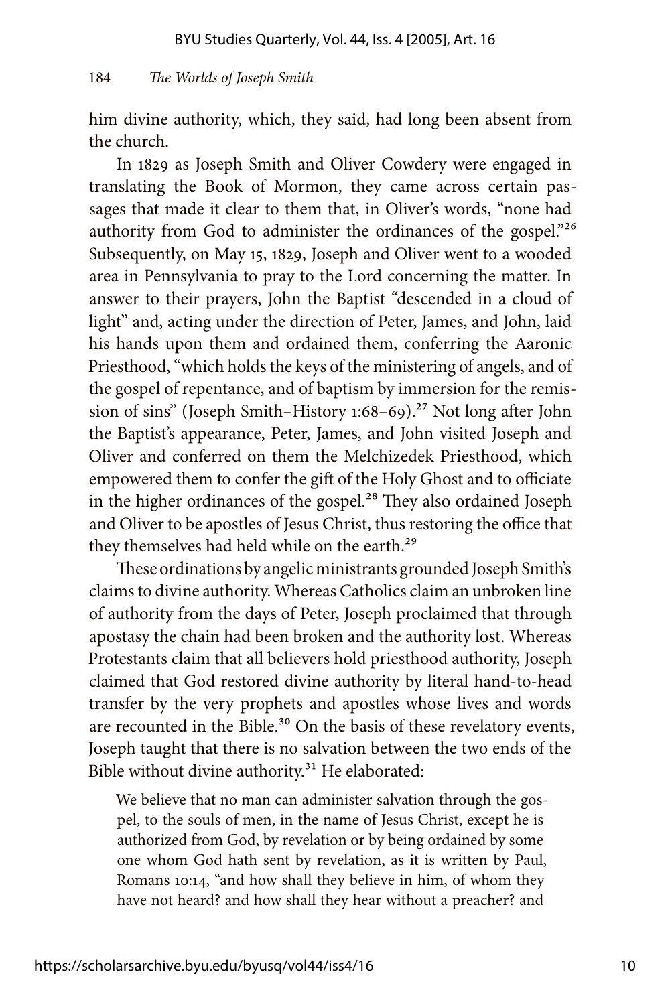him divine authority, which, they said, had long been absent from the church.

In 1829 as Joseph Smith and Oliver Cowdery were engaged in translating the Book of Mormon, they came across certain passages that made it clear to them that, in Oliver's words, "none had authority from God to administer the ordinances of the gospel."26 Subsequently, on May 15, 1829, Joseph and Oliver went to a wooded area in Pennsylvania to pray to the Lord concerning the matter. In answer to their prayers, John the Baptist "descended in a cloud of light" and, acting under the direction of Peter, James, and John, laid his hands upon them and ordained them, conferring the Aaronic Priesthood, "which holds the keys of the ministering of angels, and of the gospel of repentance, and of baptism by immersion for the remission of sins" (Joseph Smith–History 1:68–69).<sup>27</sup> Not long after John the Baptist's appearance, Peter, James, and John visited Joseph and Oliver and conferred on them the Melchizedek Priesthood, which empowered them to confer the gift of the Holy Ghost and to officiate in the higher ordinances of the gospel.<sup>28</sup> They also ordained Joseph and Oliver to be apostles of Jesus Christ, thus restoring the office that they themselves had held while on the earth.<sup>29</sup>

 These ordinations by angelic ministrants grounded Joseph Smith's claims to divine authority. Whereas Catholics claim an unbroken line of authority from the days of Peter, Joseph proclaimed that through apostasy the chain had been broken and the authority lost. Whereas Protestants claim that all believers hold priesthood authority, Joseph claimed that God restored divine authority by literal hand-to-head transfer by the very prophets and apostles whose lives and words are recounted in the Bible.<sup>30</sup> On the basis of these revelatory events, Joseph taught that there is no salvation between the two ends of the Bible without divine authority.<sup>31</sup> He elaborated:

We believe that no man can administer salvation through the gospel, to the souls of men, in the name of Jesus Christ, except he is authorized from God, by revelation or by being ordained by some one whom God hath sent by revelation, as it is written by Paul, Romans 10:14, "and how shall they believe in him, of whom they have not heard? and how shall they hear without a preacher? and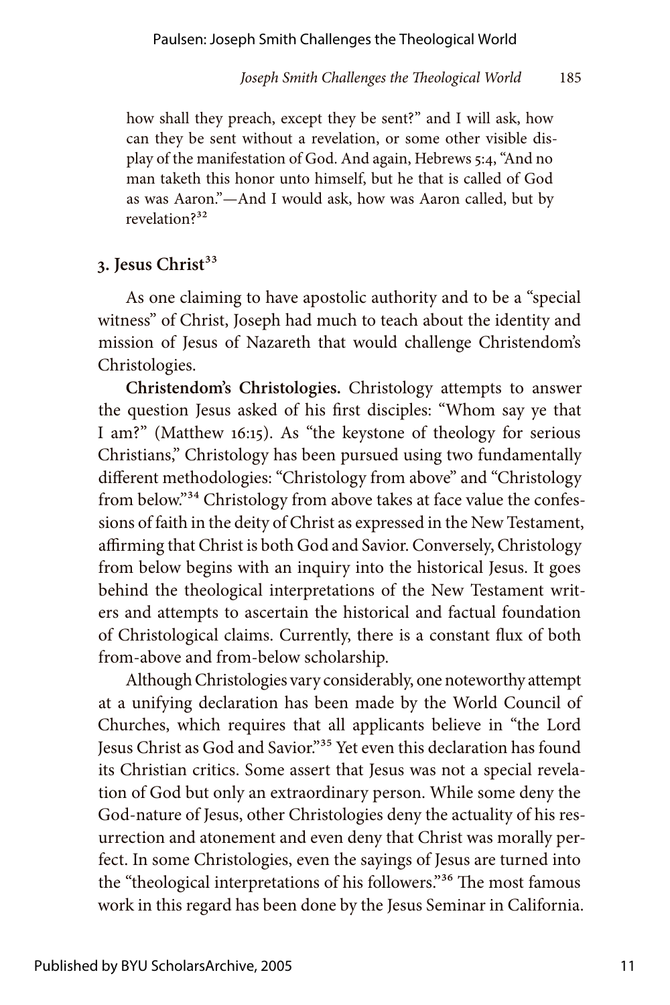how shall they preach, except they be sent?" and I will ask, how can they be sent without a revelation, or some other visible display of the manifestation of God. And again, Hebrews 5:4, "And no man taketh this honor unto himself, but he that is called of God as was Aaron."—And I would ask, how was Aaron called, but by revelation?<sup>32</sup>

# 3. Jesus Christ<sup>33</sup>

 As one claiming to have apostolic authority and to be a "special witness" of Christ, Joseph had much to teach about the identity and mission of Jesus of Nazareth that would challenge Christendom's Christologies.

**Christendom's Christologies.** Christology attempts to answer the question Jesus asked of his first disciples: "Whom say ye that I am?" (Matthew 16:15). As "the keystone of theology for serious Christians," Christology has been pursued using two fundamentally different methodologies: "Christology from above" and "Christology from below."<sup>34</sup> Christology from above takes at face value the confessions of faith in the deity of Christ as expressed in the New Testament, affirming that Christ is both God and Savior. Conversely, Christology from below begins with an inquiry into the historical Jesus. It goes behind the theological interpretations of the New Testament writers and attempts to ascertain the historical and factual foundation of Christological claims. Currently, there is a constant flux of both from-above and from-below scholarship.

 Although Christologies vary considerably, one noteworthy attempt at a unifying declaration has been made by the World Council of Churches, which requires that all applicants believe in "the Lord Jesus Christ as God and Savior."<sup>35</sup> Yet even this declaration has found its Christian critics. Some assert that Jesus was not a special revelation of God but only an extraordinary person. While some deny the God-nature of Jesus, other Christologies deny the actuality of his resurrection and atonement and even deny that Christ was morally perfect. In some Christologies, even the sayings of Jesus are turned into the "theological interpretations of his followers."<sup>36</sup> The most famous work in this regard has been done by the Jesus Seminar in California.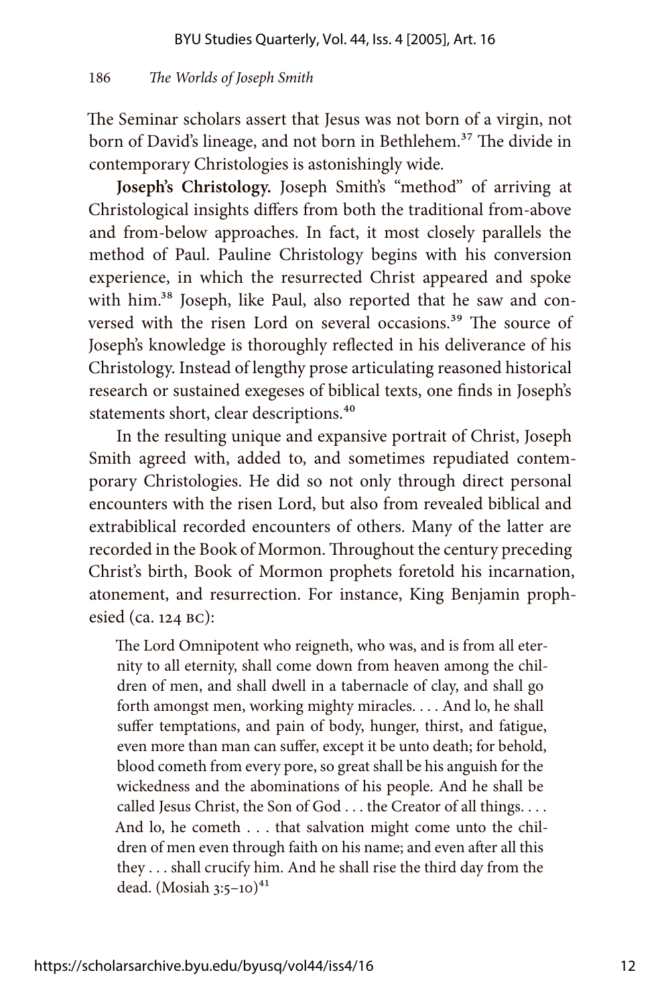The Seminar scholars assert that Jesus was not born of a virgin, not born of David's lineage, and not born in Bethlehem.<sup>37</sup> The divide in contemporary Christologies is astonishingly wide.

**Joseph's Christology.** Joseph Smith's "method" of arriving at Christological insights differs from both the traditional from-above and from-below approaches. In fact, it most closely parallels the method of Paul. Pauline Christology begins with his conversion experience, in which the resurrected Christ appeared and spoke with him.<sup>38</sup> Joseph, like Paul, also reported that he saw and conversed with the risen Lord on several occasions.<sup>39</sup> The source of Joseph's knowledge is thoroughly reflected in his deliverance of his Christology. Instead of lengthy prose articulating reasoned historical research or sustained exegeses of biblical texts, one finds in Joseph's statements short, clear descriptions.<sup>40</sup>

 In the resulting unique and expansive portrait of Christ, Joseph Smith agreed with, added to, and sometimes repudiated contemporary Christologies. He did so not only through direct personal encounters with the risen Lord, but also from revealed biblical and extrabiblical recorded encounters of others. Many of the latter are recorded in the Book of Mormon. Throughout the century preceding Christ's birth, Book of Mormon prophets foretold his incarnation, atonement, and resurrection. For instance, King Benjamin prophesied (ca. 124 BC):

The Lord Omnipotent who reigneth, who was, and is from all eternity to all eternity, shall come down from heaven among the children of men, and shall dwell in a tabernacle of clay, and shall go forth amongst men, working mighty miracles. . . . And lo, he shall suffer temptations, and pain of body, hunger, thirst, and fatigue, even more than man can suffer, except it be unto death; for behold, blood cometh from every pore, so great shall be his anguish for the wickedness and the abominations of his people. And he shall be called Jesus Christ, the Son of God . . . the Creator of all things. . . . And lo, he cometh . . . that salvation might come unto the children of men even through faith on his name; and even after all this they . . . shall crucify him. And he shall rise the third day from the dead. (Mosiah  $3:5-10$ <sup>41</sup>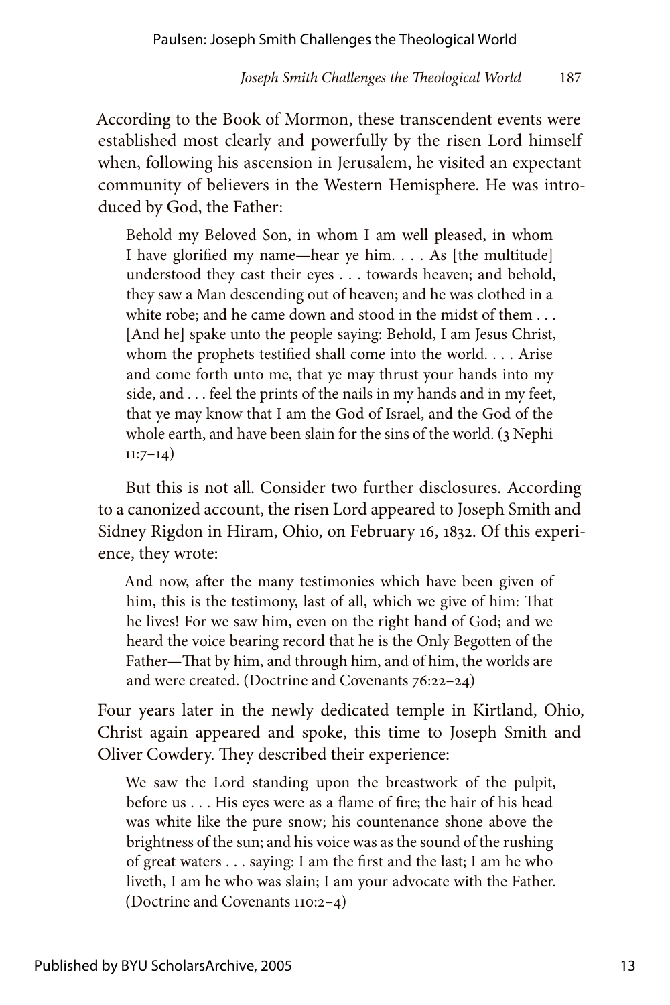According to the Book of Mormon, these transcendent events were established most clearly and powerfully by the risen Lord himself when, following his ascension in Jerusalem, he visited an expectant community of believers in the Western Hemisphere. He was introduced by God, the Father:

Behold my Beloved Son, in whom I am well pleased, in whom I have glorified my name—hear ye him. . . . As [the multitude] understood they cast their eyes . . . towards heaven; and behold, they saw a Man descending out of heaven; and he was clothed in a white robe; and he came down and stood in the midst of them . . . [And he] spake unto the people saying: Behold, I am Jesus Christ, whom the prophets testified shall come into the world. . . . Arise and come forth unto me, that ye may thrust your hands into my side, and . . . feel the prints of the nails in my hands and in my feet, that ye may know that I am the God of Israel, and the God of the whole earth, and have been slain for the sins of the world. (3 Nephi  $11:7-14)$ 

 But this is not all. Consider two further disclosures. According to a canonized account, the risen Lord appeared to Joseph Smith and Sidney Rigdon in Hiram, Ohio, on February 16, 1832. Of this experience, they wrote:

And now, after the many testimonies which have been given of him, this is the testimony, last of all, which we give of him: That he lives! For we saw him, even on the right hand of God; and we heard the voice bearing record that he is the Only Begotten of the Father—That by him, and through him, and of him, the worlds are and were created. (Doctrine and Covenants 76:22–24)

Four years later in the newly dedicated temple in Kirtland, Ohio, Christ again appeared and spoke, this time to Joseph Smith and Oliver Cowdery. They described their experience:

We saw the Lord standing upon the breastwork of the pulpit, before us . . . His eyes were as a flame of fire; the hair of his head was white like the pure snow; his countenance shone above the brightness of the sun; and his voice was as the sound of the rushing of great waters . . . saying: I am the first and the last; I am he who liveth, I am he who was slain; I am your advocate with the Father. (Doctrine and Covenants  $110:2-4$ )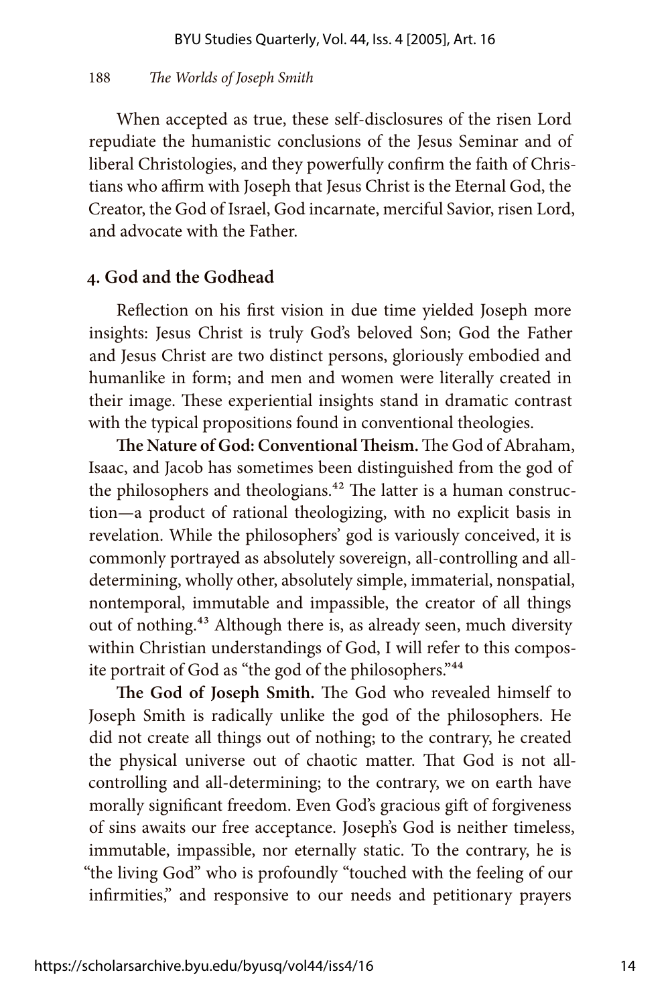When accepted as true, these self-disclosures of the risen Lord repudiate the humanistic conclusions of the Jesus Seminar and of liberal Christologies, and they powerfully confirm the faith of Christians who affirm with Joseph that Jesus Christ is the Eternal God, the Creator, the God of Israel, God incarnate, merciful Savior, risen Lord, and advocate with the Father.

## **4. God and the Godhead**

 Reflection on his first vision in due time yielded Joseph more insights: Jesus Christ is truly God's beloved Son; God the Father and Jesus Christ are two distinct persons, gloriously embodied and humanlike in form; and men and women were literally created in their image. These experiential insights stand in dramatic contrast with the typical propositions found in conventional theologies.

**The Nature of God: Conventional Theism.**The God of Abraham, Isaac, and Jacob has sometimes been distinguished from the god of the philosophers and theologians.<sup>42</sup> The latter is a human construction—a product of rational theologizing, with no explicit basis in revelation. While the philosophers' god is variously conceived, it is commonly portrayed as absolutely sovereign, all-controlling and alldetermining, wholly other, absolutely simple, immaterial, nonspatial, nontemporal, immutable and impassible, the creator of all things out of nothing.<sup>43</sup> Although there is, as already seen, much diversity within Christian understandings of God, I will refer to this composite portrait of God as "the god of the philosophers."<sup>44</sup>

**The God of Joseph Smith.** The God who revealed himself to Joseph Smith is radically unlike the god of the philosophers. He did not create all things out of nothing; to the contrary, he created the physical universe out of chaotic matter. That God is not allcontrolling and all-determining; to the contrary, we on earth have morally significant freedom. Even God's gracious gift of forgiveness of sins awaits our free acceptance. Joseph's God is neither timeless, immutable, impassible, nor eternally static. To the contrary, he is "the living God" who is profoundly "touched with the feeling of our infirmities," and responsive to our needs and petitionary prayers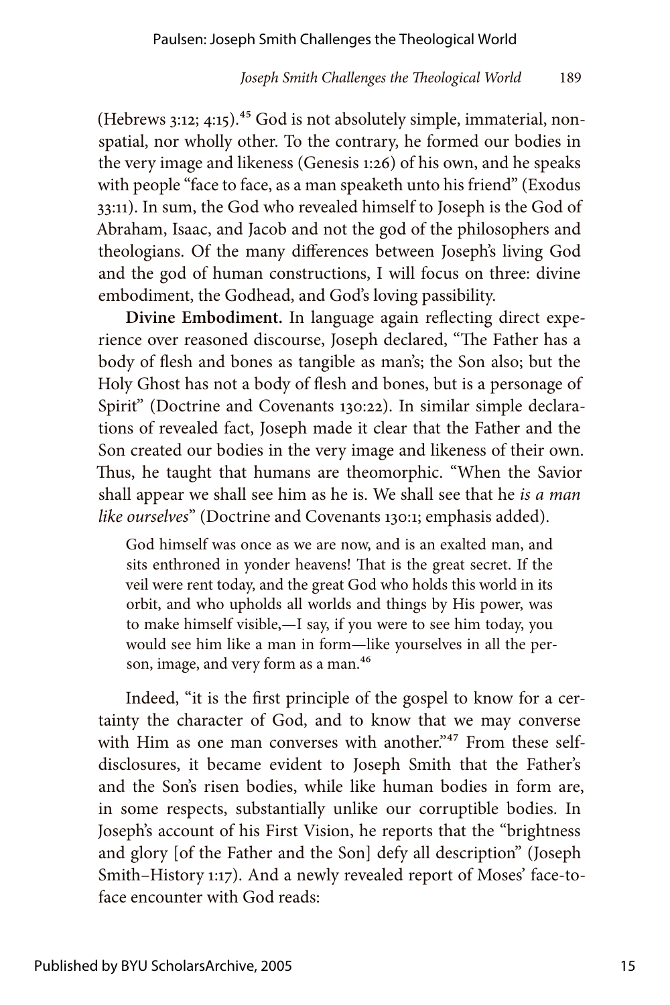(Hebrews 3:12; 4:15). $^{45}$  God is not absolutely simple, immaterial, nonspatial, nor wholly other. To the contrary, he formed our bodies in the very image and likeness (Genesis 1:26) of his own, and he speaks with people "face to face, as a man speaketh unto his friend" (Exodus 33:11). In sum, the God who revealed himself to Joseph is the God of Abraham, Isaac, and Jacob and not the god of the philosophers and theologians. Of the many differences between Joseph's living God and the god of human constructions, I will focus on three: divine embodiment, the Godhead, and God's loving passibility.

**Divine Embodiment.** In language again reflecting direct experience over reasoned discourse, Joseph declared, "The Father has a body of flesh and bones as tangible as man's; the Son also; but the Holy Ghost has not a body of flesh and bones, but is a personage of Spirit" (Doctrine and Covenants 130:22). In similar simple declarations of revealed fact, Joseph made it clear that the Father and the Son created our bodies in the very image and likeness of their own. Thus, he taught that humans are theomorphic. "When the Savior shall appear we shall see him as he is. We shall see that he *is a man like ourselves*" (Doctrine and Covenants 130:1; emphasis added).

God himself was once as we are now, and is an exalted man, and sits enthroned in yonder heavens! That is the great secret. If the veil were rent today, and the great God who holds this world in its orbit, and who upholds all worlds and things by His power, was to make himself visible,—I say, if you were to see him today, you would see him like a man in form—like yourselves in all the person, image, and very form as a man.<sup>46</sup>

 Indeed, "it is the first principle of the gospel to know for a certainty the character of God, and to know that we may converse with Him as one man converses with another."<sup>47</sup> From these selfdisclosures, it became evident to Joseph Smith that the Father's and the Son's risen bodies, while like human bodies in form are, in some respects, substantially unlike our corruptible bodies. In Joseph's account of his First Vision, he reports that the "brightness and glory [of the Father and the Son] defy all description" (Joseph Smith-History 1:17). And a newly revealed report of Moses' face-toface encounter with God reads: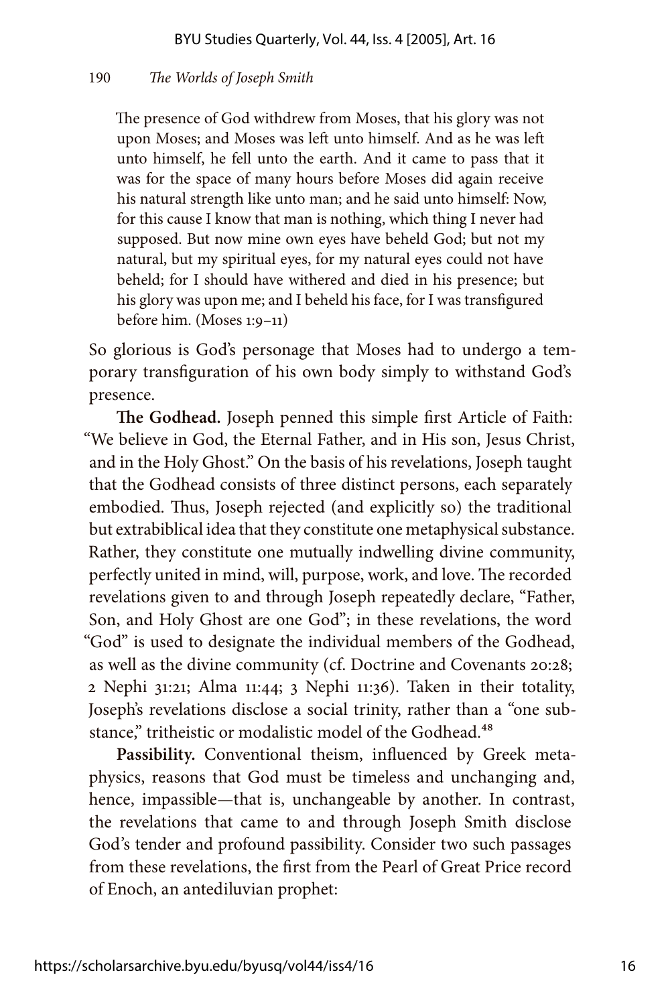The presence of God withdrew from Moses, that his glory was not upon Moses; and Moses was left unto himself. And as he was left unto himself, he fell unto the earth. And it came to pass that it was for the space of many hours before Moses did again receive his natural strength like unto man; and he said unto himself: Now, for this cause I know that man is nothing, which thing I never had supposed. But now mine own eyes have beheld God; but not my natural, but my spiritual eyes, for my natural eyes could not have beheld; for I should have withered and died in his presence; but his glory was upon me; and I beheld his face, for I was transfigured before him.  $(Moses 1:9-11)$ 

So glorious is God's personage that Moses had to undergo a temporary transfiguration of his own body simply to withstand God's presence.

**The Godhead.** Joseph penned this simple first Article of Faith: "We believe in God, the Eternal Father, and in His son, Jesus Christ, and in the Holy Ghost." On the basis of his revelations, Joseph taught that the Godhead consists of three distinct persons, each separately embodied. Thus, Joseph rejected (and explicitly so) the traditional but extrabiblical idea that they constitute one metaphysical substance. Rather, they constitute one mutually indwelling divine community, perfectly united in mind, will, purpose, work, and love. The recorded revelations given to and through Joseph repeatedly declare, "Father, Son, and Holy Ghost are one God"; in these revelations, the word "God" is used to designate the individual members of the Godhead, as well as the divine community (cf. Doctrine and Covenants 20:28;  $2$  Nephi 31:21; Alma 11:44; 3 Nephi 11:36). Taken in their totality, Joseph's revelations disclose a social trinity, rather than a "one substance," tritheistic or modalistic model of the Godhead.<sup>48</sup>

**Passibility.** Conventional theism, influenced by Greek metaphysics, reasons that God must be timeless and unchanging and, hence, impassible—that is, unchangeable by another. In contrast, the revelations that came to and through Joseph Smith disclose God's tender and profound passibility. Consider two such passages from these revelations, the first from the Pearl of Great Price record of Enoch, an antediluvian prophet: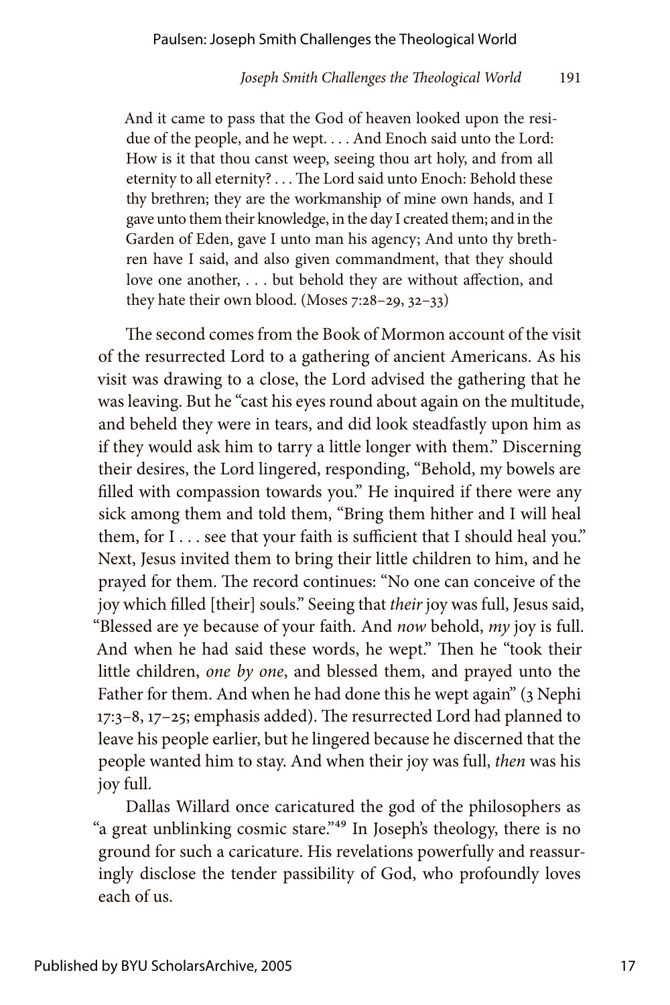And it came to pass that the God of heaven looked upon the residue of the people, and he wept. . . . And Enoch said unto the Lord: How is it that thou canst weep, seeing thou art holy, and from all eternity to all eternity? . . . The Lord said unto Enoch: Behold these thy brethren; they are the workmanship of mine own hands, and I gave unto them their knowledge, in the day I created them; and in the Garden of Eden, gave I unto man his agency; And unto thy brethren have I said, and also given commandment, that they should love one another, . . . but behold they are without affection, and they hate their own blood. (Moses 7:28–29, 32–33)

 The second comes from the Book of Mormon account of the visit of the resurrected Lord to a gathering of ancient Americans. As his visit was drawing to a close, the Lord advised the gathering that he was leaving. But he "cast his eyes round about again on the multitude, and beheld they were in tears, and did look steadfastly upon him as if they would ask him to tarry a little longer with them." Discerning their desires, the Lord lingered, responding, "Behold, my bowels are filled with compassion towards you." He inquired if there were any sick among them and told them, "Bring them hither and I will heal them, for I... see that your faith is sufficient that I should heal you." Next, Jesus invited them to bring their little children to him, and he prayed for them. The record continues: "No one can conceive of the joy which filled [their] souls." Seeing that *their* joy was full, Jesus said, "Blessed are ye because of your faith. And *now* behold, *my* joy is full. And when he had said these words, he wept." Then he "took their little children, *one by one*, and blessed them, and prayed unto the Father for them. And when he had done this he wept again" (3 Nephi 7:3–8, 7–25; emphasis added). The resurrected Lord had planned to leave his people earlier, but he lingered because he discerned that the people wanted him to stay. And when their joy was full, *then* was his joy full.

 Dallas Willard once caricatured the god of the philosophers as "a great unblinking cosmic stare."<sup>49</sup> In Joseph's theology, there is no ground for such a caricature. His revelations powerfully and reassuringly disclose the tender passibility of God, who profoundly loves each of us.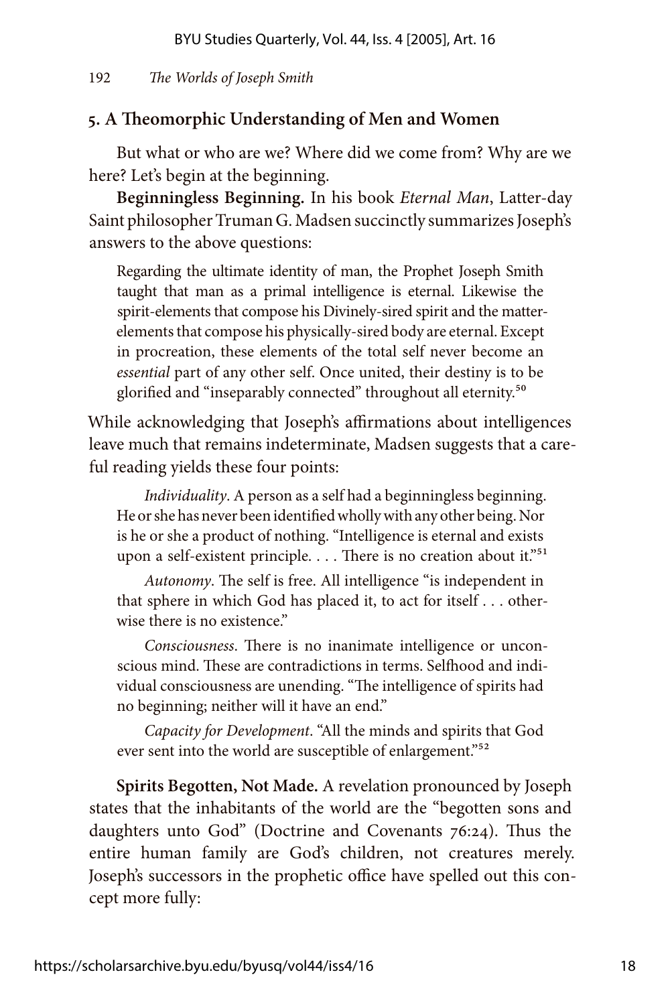## **5. A Theomorphic Understanding of Men and Women**

 But what or who are we? Where did we come from? Why are we here? Let's begin at the beginning.

**Beginningless Beginning.** In his book *Eternal Man*, Latter-day Saint philosopher Truman G. Madsen succinctly summarizes Joseph's answers to the above questions:

Regarding the ultimate identity of man, the Prophet Joseph Smith taught that man as a primal intelligence is eternal. Likewise the spirit-elements that compose his Divinely-sired spirit and the matterelements that compose his physically-sired body are eternal. Except in procreation, these elements of the total self never become an *essential* part of any other self. Once united, their destiny is to be glorified and "inseparably connected" throughout all eternity.<sup>50</sup>

While acknowledging that Joseph's affirmations about intelligences leave much that remains indeterminate, Madsen suggests that a careful reading yields these four points:

*Individuality*. A person as a self had a beginningless beginning. He or she has never been identified wholly with any other being. Nor is he or she a product of nothing. "Intelligence is eternal and exists upon a self-existent principle. . . . There is no creation about it."<sup>51</sup>

*Autonomy*. The self is free. All intelligence "is independent in that sphere in which God has placed it, to act for itself . . . otherwise there is no existence"

*Consciousness*. There is no inanimate intelligence or unconscious mind. These are contradictions in terms. Selfhood and individual consciousness are unending. "The intelligence of spirits had no beginning; neither will it have an end."

*Capacity for Development*. "All the minds and spirits that God ever sent into the world are susceptible of enlargement."<sup>52</sup>

**Spirits Begotten, Not Made.** A revelation pronounced by Joseph states that the inhabitants of the world are the "begotten sons and daughters unto God" (Doctrine and Covenants 76:24). Thus the entire human family are God's children, not creatures merely. Joseph's successors in the prophetic office have spelled out this concept more fully: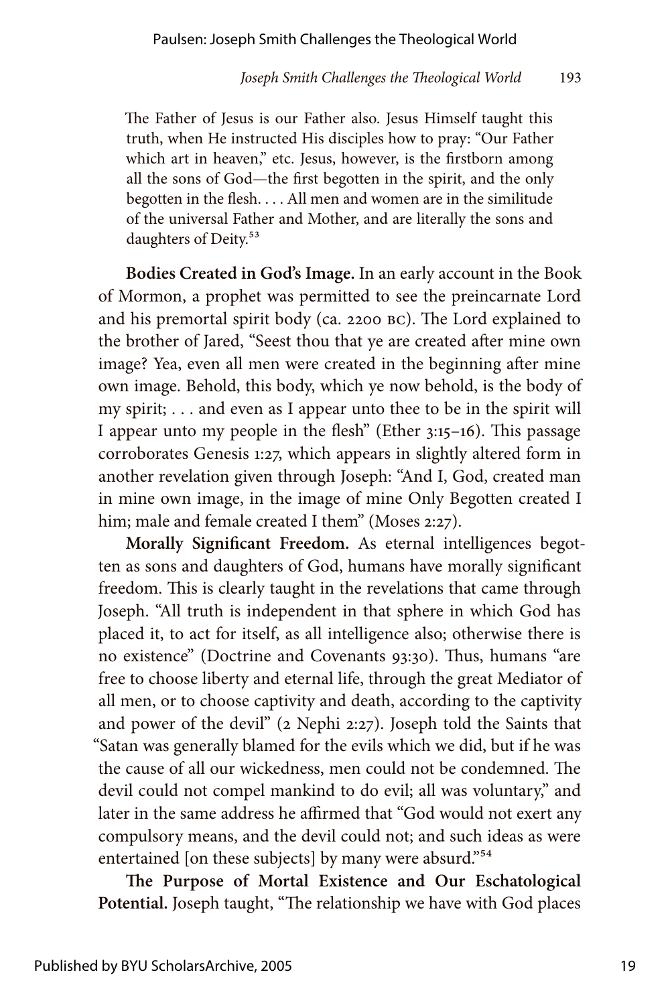The Father of Jesus is our Father also. Jesus Himself taught this truth, when He instructed His disciples how to pray: "Our Father which art in heaven," etc. Jesus, however, is the firstborn among all the sons of God—the first begotten in the spirit, and the only begotten in the flesh. . . . All men and women are in the similitude of the universal Father and Mother, and are literally the sons and daughters of Deity.<sup>53</sup>

**Bodies Created in God's Image.** In an early account in the Book of Mormon, a prophet was permitted to see the preincarnate Lord and his premortal spirit body (ca. 2200 bc). The Lord explained to the brother of Jared, "Seest thou that ye are created after mine own image? Yea, even all men were created in the beginning after mine own image. Behold, this body, which ye now behold, is the body of my spirit; . . . and even as I appear unto thee to be in the spirit will I appear unto my people in the flesh" (Ether 3:15-16). This passage corroborates Genesis :27, which appears in slightly altered form in another revelation given through Joseph: "And I, God, created man in mine own image, in the image of mine Only Begotten created I him; male and female created I them" (Moses 2:27).

**Morally Significant Freedom.** As eternal intelligences begotten as sons and daughters of God, humans have morally significant freedom. This is clearly taught in the revelations that came through Joseph. "All truth is independent in that sphere in which God has placed it, to act for itself, as all intelligence also; otherwise there is no existence" (Doctrine and Covenants 93:30). Thus, humans "are free to choose liberty and eternal life, through the great Mediator of all men, or to choose captivity and death, according to the captivity and power of the devil" (2 Nephi 2:27). Joseph told the Saints that "Satan was generally blamed for the evils which we did, but if he was the cause of all our wickedness, men could not be condemned. The devil could not compel mankind to do evil; all was voluntary," and later in the same address he affirmed that "God would not exert any compulsory means, and the devil could not; and such ideas as were entertained [on these subjects] by many were absurd."<sup>54</sup>

**The Purpose of Mortal Existence and Our Eschatological Potential.** Joseph taught, "The relationship we have with God places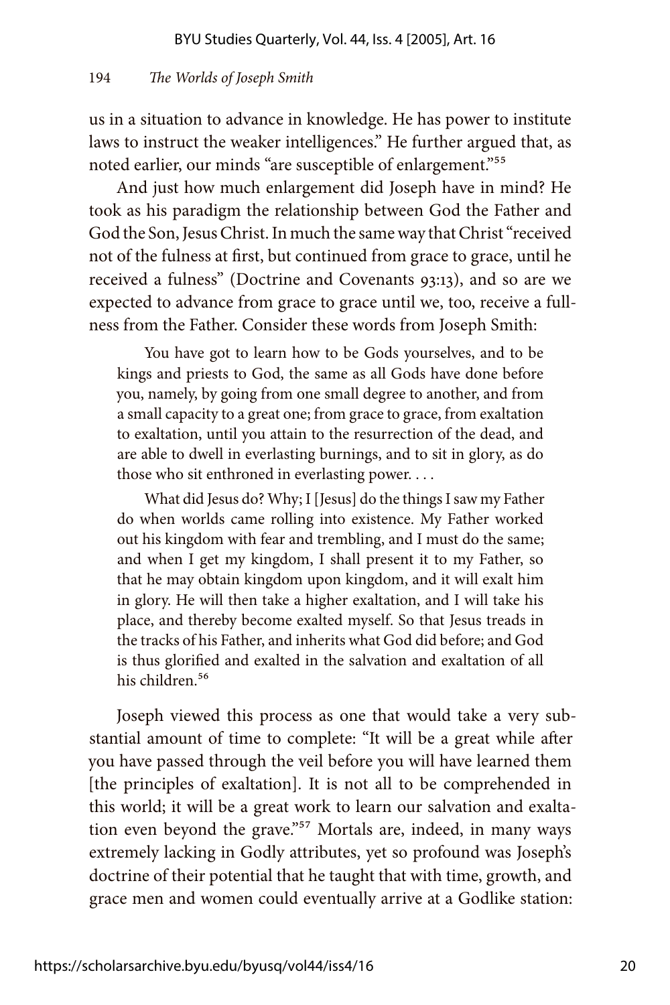us in a situation to advance in knowledge. He has power to institute laws to instruct the weaker intelligences." He further argued that, as noted earlier, our minds "are susceptible of enlargement."<sup>55</sup>

 And just how much enlargement did Joseph have in mind? He took as his paradigm the relationship between God the Father and God the Son, Jesus Christ. In much the same way that Christ "received not of the fulness at first, but continued from grace to grace, until he received a fulness" (Doctrine and Covenants 93:13), and so are we expected to advance from grace to grace until we, too, receive a fullness from the Father. Consider these words from Joseph Smith:

 You have got to learn how to be Gods yourselves, and to be kings and priests to God, the same as all Gods have done before you, namely, by going from one small degree to another, and from a small capacity to a great one; from grace to grace, from exaltation to exaltation, until you attain to the resurrection of the dead, and are able to dwell in everlasting burnings, and to sit in glory, as do those who sit enthroned in everlasting power. . . .

 What did Jesus do? Why; I [Jesus] do the things I saw my Father do when worlds came rolling into existence. My Father worked out his kingdom with fear and trembling, and I must do the same; and when I get my kingdom, I shall present it to my Father, so that he may obtain kingdom upon kingdom, and it will exalt him in glory. He will then take a higher exaltation, and I will take his place, and thereby become exalted myself. So that Jesus treads in the tracks of his Father, and inherits what God did before; and God is thus glorified and exalted in the salvation and exaltation of all his children<sup>56</sup>

 Joseph viewed this process as one that would take a very substantial amount of time to complete: "It will be a great while after you have passed through the veil before you will have learned them [the principles of exaltation]. It is not all to be comprehended in this world; it will be a great work to learn our salvation and exaltation even beyond the grave."<sup>57</sup> Mortals are, indeed, in many ways extremely lacking in Godly attributes, yet so profound was Joseph's doctrine of their potential that he taught that with time, growth, and grace men and women could eventually arrive at a Godlike station: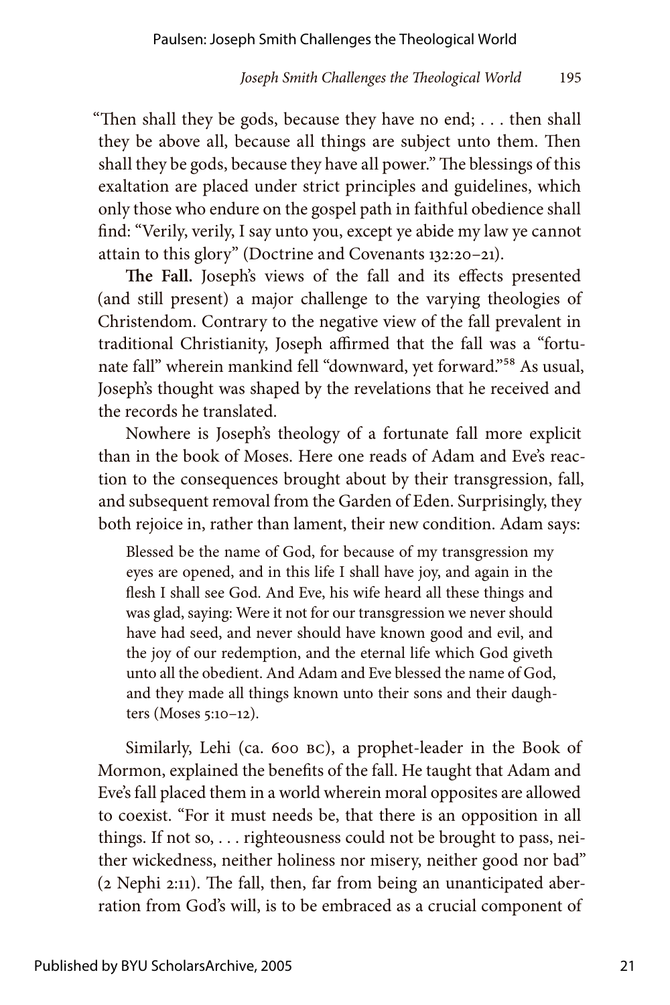"Then shall they be gods, because they have no end; . . . then shall they be above all, because all things are subject unto them. Then shall they be gods, because they have all power." The blessings of this exaltation are placed under strict principles and guidelines, which only those who endure on the gospel path in faithful obedience shall find: "Verily, verily, I say unto you, except ye abide my law ye cannot attain to this glory" (Doctrine and Covenants 132:20-21).

**The Fall.** Joseph's views of the fall and its effects presented (and still present) a major challenge to the varying theologies of Christendom. Contrary to the negative view of the fall prevalent in traditional Christianity, Joseph affirmed that the fall was a "fortunate fall" wherein mankind fell "downward, yet forward."<sup>58</sup> As usual, Joseph's thought was shaped by the revelations that he received and the records he translated.

 Nowhere is Joseph's theology of a fortunate fall more explicit than in the book of Moses. Here one reads of Adam and Eve's reaction to the consequences brought about by their transgression, fall, and subsequent removal from the Garden of Eden. Surprisingly, they both rejoice in, rather than lament, their new condition. Adam says:

Blessed be the name of God, for because of my transgression my eyes are opened, and in this life I shall have joy, and again in the flesh I shall see God. And Eve, his wife heard all these things and was glad, saying: Were it not for our transgression we never should have had seed, and never should have known good and evil, and the joy of our redemption, and the eternal life which God giveth unto all the obedient. And Adam and Eve blessed the name of God, and they made all things known unto their sons and their daughters (Moses  $5:10-12$ ).

 Similarly, Lehi (ca. 600 bc), a prophet-leader in the Book of Mormon, explained the benefits of the fall. He taught that Adam and Eve's fall placed them in a world wherein moral opposites are allowed to coexist. "For it must needs be, that there is an opposition in all things. If not so, . . . righteousness could not be brought to pass, neither wickedness, neither holiness nor misery, neither good nor bad"  $(z$  Nephi 2:11). The fall, then, far from being an unanticipated aberration from God's will, is to be embraced as a crucial component of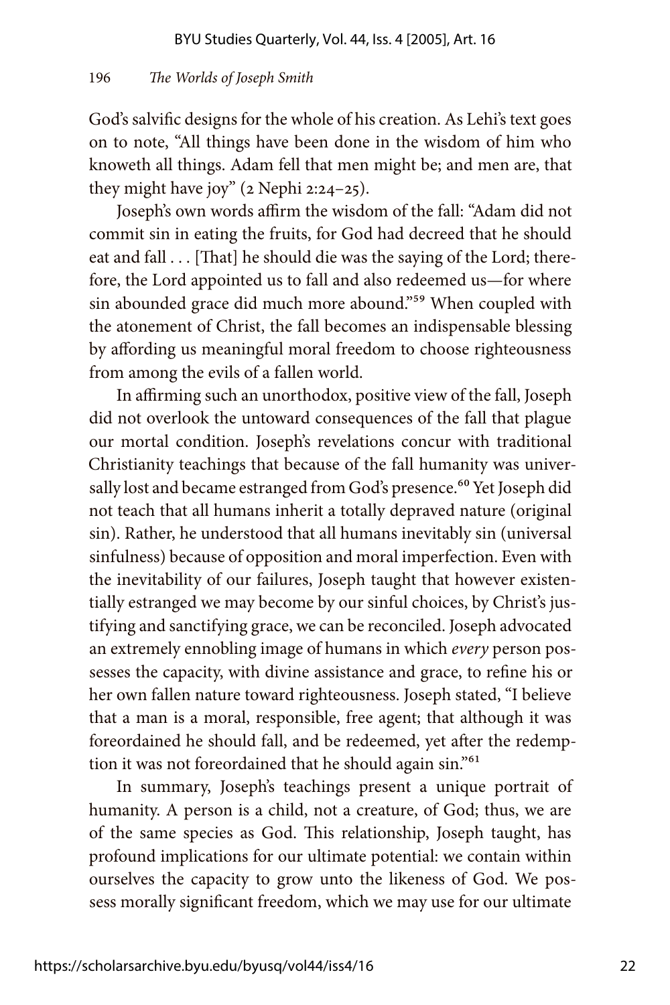God's salvific designs for the whole of his creation. As Lehi's text goes on to note, "All things have been done in the wisdom of him who knoweth all things. Adam fell that men might be; and men are, that they might have joy" (2 Nephi 2:24–25).

 Joseph's own words affirm the wisdom of the fall: "Adam did not commit sin in eating the fruits, for God had decreed that he should eat and fall . . . [That] he should die was the saying of the Lord; therefore, the Lord appointed us to fall and also redeemed us—for where sin abounded grace did much more abound."<sup>59</sup> When coupled with the atonement of Christ, the fall becomes an indispensable blessing by affording us meaningful moral freedom to choose righteousness from among the evils of a fallen world.

 In affirming such an unorthodox, positive view of the fall, Joseph did not overlook the untoward consequences of the fall that plague our mortal condition. Joseph's revelations concur with traditional Christianity teachings that because of the fall humanity was universally lost and became estranged from God's presence.<sup>60</sup> Yet Joseph did not teach that all humans inherit a totally depraved nature (original sin). Rather, he understood that all humans inevitably sin (universal sinfulness) because of opposition and moral imperfection. Even with the inevitability of our failures, Joseph taught that however existentially estranged we may become by our sinful choices, by Christ's justifying and sanctifying grace, we can be reconciled. Joseph advocated an extremely ennobling image of humans in which *every* person possesses the capacity, with divine assistance and grace, to refine his or her own fallen nature toward righteousness. Joseph stated, "I believe that a man is a moral, responsible, free agent; that although it was foreordained he should fall, and be redeemed, yet after the redemption it was not foreordained that he should again sin."<sup>61</sup>

 In summary, Joseph's teachings present a unique portrait of humanity. A person is a child, not a creature, of God; thus, we are of the same species as God. This relationship, Joseph taught, has profound implications for our ultimate potential: we contain within ourselves the capacity to grow unto the likeness of God. We possess morally significant freedom, which we may use for our ultimate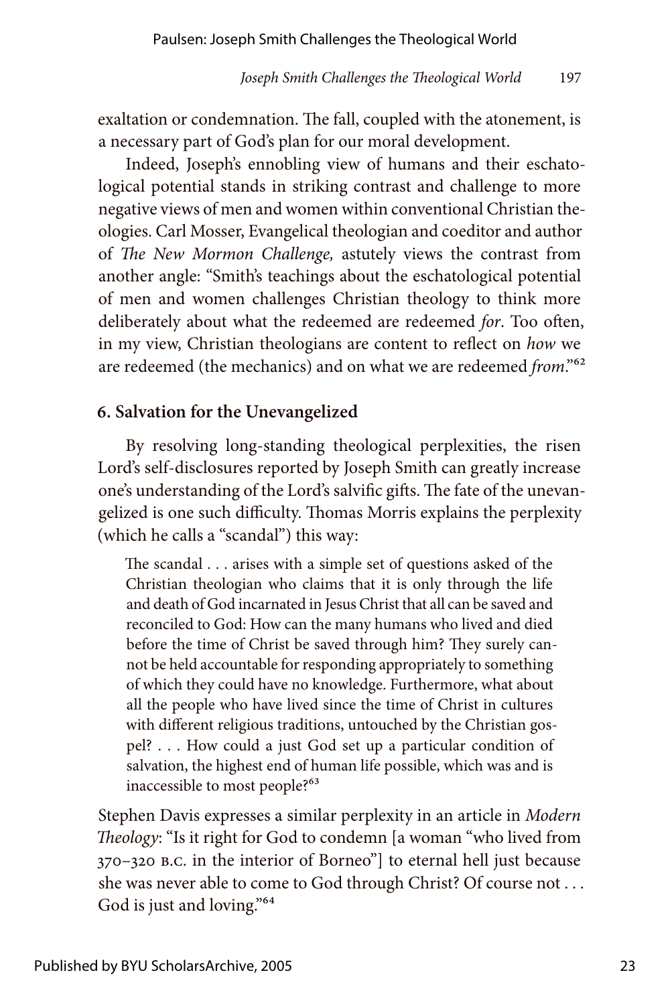exaltation or condemnation. The fall, coupled with the atonement, is a necessary part of God's plan for our moral development.

 Indeed, Joseph's ennobling view of humans and their eschatological potential stands in striking contrast and challenge to more negative views of men and women within conventional Christian theologies. Carl Mosser, Evangelical theologian and coeditor and author of *The New Mormon Challenge,* astutely views the contrast from another angle: "Smith's teachings about the eschatological potential of men and women challenges Christian theology to think more deliberately about what the redeemed are redeemed *for*. Too often, in my view, Christian theologians are content to reflect on *how* we are redeemed (the mechanics) and on what we are redeemed *from*."<sup>62</sup>

## **6. Salvation for the Unevangelized**

 By resolving long-standing theological perplexities, the risen Lord's self-disclosures reported by Joseph Smith can greatly increase one's understanding of the Lord's salvific gifts. The fate of the unevangelized is one such difficulty. Thomas Morris explains the perplexity (which he calls a "scandal") this way:

The scandal . . . arises with a simple set of questions asked of the Christian theologian who claims that it is only through the life and death of God incarnated in Jesus Christ that all can be saved and reconciled to God: How can the many humans who lived and died before the time of Christ be saved through him? They surely cannot be held accountable for responding appropriately to something of which they could have no knowledge. Furthermore, what about all the people who have lived since the time of Christ in cultures with different religious traditions, untouched by the Christian gospel? . . . How could a just God set up a particular condition of salvation, the highest end of human life possible, which was and is inaccessible to most people?<sup>63</sup>

Stephen Davis expresses a similar perplexity in an article in *Modern Theology*: "Is it right for God to condemn [a woman "who lived from 370–320 b.c. in the interior of Borneo"] to eternal hell just because she was never able to come to God through Christ? Of course not . . . God is just and loving."<sup>64</sup>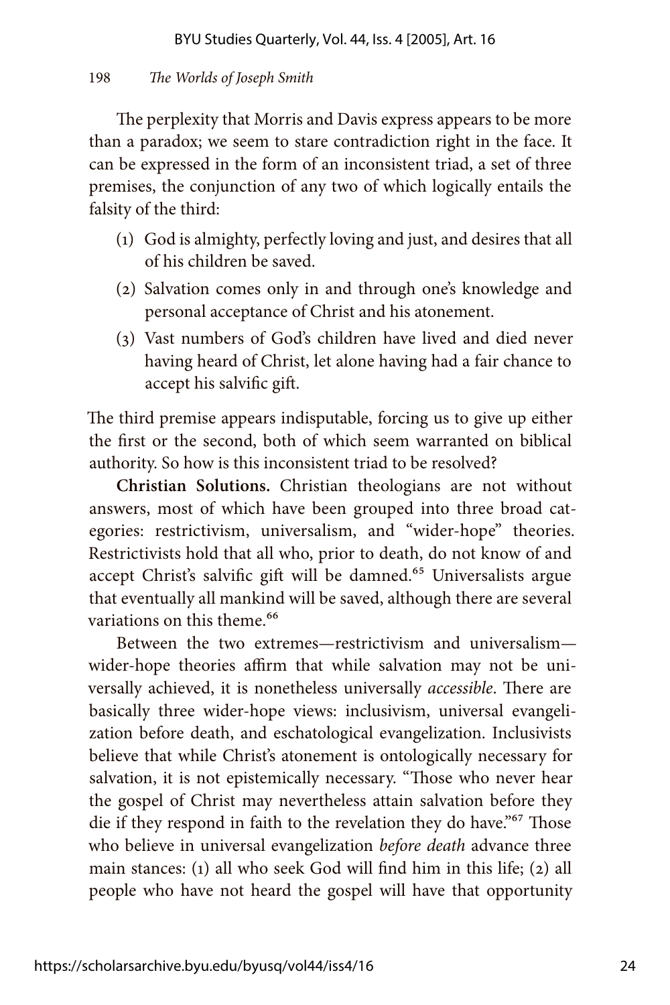The perplexity that Morris and Davis express appears to be more than a paradox; we seem to stare contradiction right in the face. It can be expressed in the form of an inconsistent triad, a set of three premises, the conjunction of any two of which logically entails the falsity of the third:

- () God is almighty, perfectly loving and just, and desires that all of his children be saved.
- (2) Salvation comes only in and through one's knowledge and personal acceptance of Christ and his atonement.
- (3) Vast numbers of God's children have lived and died never having heard of Christ, let alone having had a fair chance to accept his salvific gift.

The third premise appears indisputable, forcing us to give up either the first or the second, both of which seem warranted on biblical authority. So how is this inconsistent triad to be resolved?

**Christian Solutions.** Christian theologians are not without answers, most of which have been grouped into three broad categories: restrictivism, universalism, and "wider-hope" theories. Restrictivists hold that all who, prior to death, do not know of and accept Christ's salvific gift will be damned.<sup>65</sup> Universalists argue that eventually all mankind will be saved, although there are several variations on this theme.<sup>66</sup>

 Between the two extremes—restrictivism and universalism wider-hope theories affirm that while salvation may not be universally achieved, it is nonetheless universally *accessible*. There are basically three wider-hope views: inclusivism, universal evangelization before death, and eschatological evangelization. Inclusivists believe that while Christ's atonement is ontologically necessary for salvation, it is not epistemically necessary. "Those who never hear the gospel of Christ may nevertheless attain salvation before they die if they respond in faith to the revelation they do have."<sup>67</sup> Those who believe in universal evangelization *before death* advance three main stances: (1) all who seek God will find him in this life; (2) all people who have not heard the gospel will have that opportunity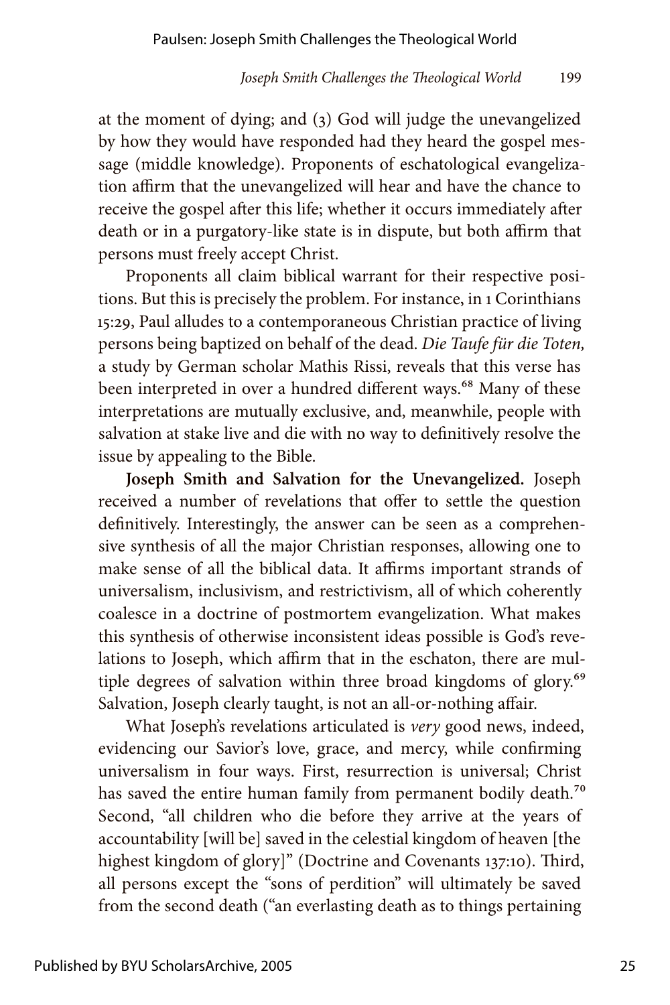at the moment of dying; and (3) God will judge the unevangelized by how they would have responded had they heard the gospel message (middle knowledge). Proponents of eschatological evangelization affirm that the unevangelized will hear and have the chance to receive the gospel after this life; whether it occurs immediately after death or in a purgatory-like state is in dispute, but both affirm that persons must freely accept Christ.

 Proponents all claim biblical warrant for their respective positions. But this is precisely the problem. For instance, in 1 Corinthians 5:29, Paul alludes to a contemporaneous Christian practice of living persons being baptized on behalf of the dead. *Die Taufe für die Toten,* a study by German scholar Mathis Rissi, reveals that this verse has been interpreted in over a hundred different ways.<sup>68</sup> Many of these interpretations are mutually exclusive, and, meanwhile, people with salvation at stake live and die with no way to definitively resolve the issue by appealing to the Bible.

**Joseph Smith and Salvation for the Unevangelized.** Joseph received a number of revelations that offer to settle the question definitively. Interestingly, the answer can be seen as a comprehensive synthesis of all the major Christian responses, allowing one to make sense of all the biblical data. It affirms important strands of universalism, inclusivism, and restrictivism, all of which coherently coalesce in a doctrine of postmortem evangelization. What makes this synthesis of otherwise inconsistent ideas possible is God's revelations to Joseph, which affirm that in the eschaton, there are multiple degrees of salvation within three broad kingdoms of glory.<sup>69</sup> Salvation, Joseph clearly taught, is not an all-or-nothing affair.

 What Joseph's revelations articulated is *very* good news, indeed, evidencing our Savior's love, grace, and mercy, while confirming universalism in four ways. First, resurrection is universal; Christ has saved the entire human family from permanent bodily death.<sup>70</sup> Second, "all children who die before they arrive at the years of accountability [will be] saved in the celestial kingdom of heaven [the highest kingdom of glory]" (Doctrine and Covenants 137:10). Third, all persons except the "sons of perdition" will ultimately be saved from the second death ("an everlasting death as to things pertaining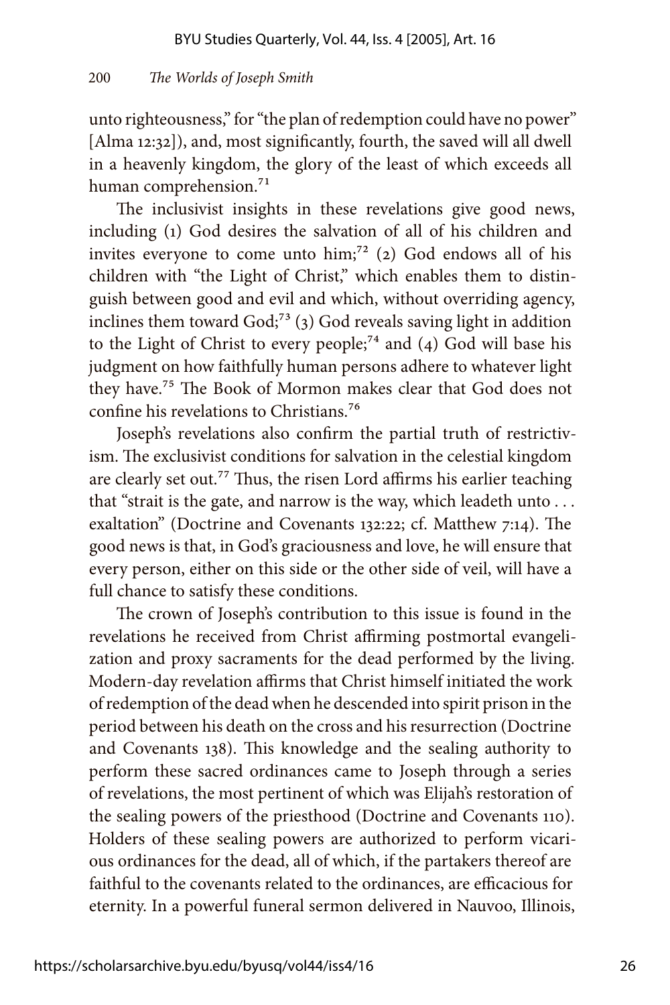unto righteousness," for "the plan of redemption could have no power" [Alma 12:32]), and, most significantly, fourth, the saved will all dwell in a heavenly kingdom, the glory of the least of which exceeds all human comprehension.<sup>71</sup>

 The inclusivist insights in these revelations give good news, including () God desires the salvation of all of his children and invites everyone to come unto  $\lim_{z \to z}$  (2) God endows all of his children with "the Light of Christ," which enables them to distinguish between good and evil and which, without overriding agency, inclines them toward God;<sup>73</sup> (3) God reveals saving light in addition to the Light of Christ to every people;<sup>74</sup> and (4) God will base his judgment on how faithfully human persons adhere to whatever light they have.<sup>75</sup> The Book of Mormon makes clear that God does not confine his revelations to Christians.<sup>76</sup>

 Joseph's revelations also confirm the partial truth of restrictivism. The exclusivist conditions for salvation in the celestial kingdom are clearly set out.<sup>77</sup> Thus, the risen Lord affirms his earlier teaching that "strait is the gate, and narrow is the way, which leadeth unto . . . exaltation" (Doctrine and Covenants 32:22; cf. Matthew 7:4). The good news is that, in God's graciousness and love, he will ensure that every person, either on this side or the other side of veil, will have a full chance to satisfy these conditions.

 The crown of Joseph's contribution to this issue is found in the revelations he received from Christ affirming postmortal evangelization and proxy sacraments for the dead performed by the living. Modern-day revelation affirms that Christ himself initiated the work of redemption of the dead when he descended into spirit prison in the period between his death on the cross and his resurrection (Doctrine and Covenants 138). This knowledge and the sealing authority to perform these sacred ordinances came to Joseph through a series of revelations, the most pertinent of which was Elijah's restoration of the sealing powers of the priesthood (Doctrine and Covenants 110). Holders of these sealing powers are authorized to perform vicarious ordinances for the dead, all of which, if the partakers thereof are faithful to the covenants related to the ordinances, are efficacious for eternity. In a powerful funeral sermon delivered in Nauvoo, Illinois,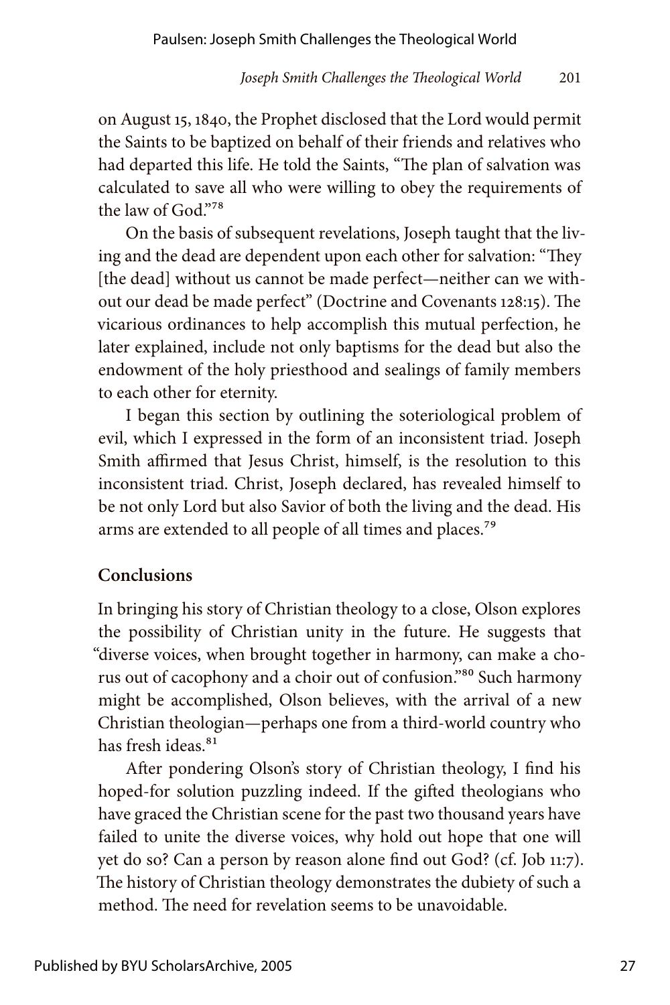on August 15, 1840, the Prophet disclosed that the Lord would permit the Saints to be baptized on behalf of their friends and relatives who had departed this life. He told the Saints, "The plan of salvation was calculated to save all who were willing to obey the requirements of the law of God."<sup>78</sup>

 On the basis of subsequent revelations, Joseph taught that the living and the dead are dependent upon each other for salvation: "They [the dead] without us cannot be made perfect—neither can we without our dead be made perfect" (Doctrine and Covenants 128:15). The vicarious ordinances to help accomplish this mutual perfection, he later explained, include not only baptisms for the dead but also the endowment of the holy priesthood and sealings of family members to each other for eternity.

 I began this section by outlining the soteriological problem of evil, which I expressed in the form of an inconsistent triad. Joseph Smith affirmed that Jesus Christ, himself, is the resolution to this inconsistent triad. Christ, Joseph declared, has revealed himself to be not only Lord but also Savior of both the living and the dead. His arms are extended to all people of all times and places.<sup>79</sup>

# **Conclusions**

In bringing his story of Christian theology to a close, Olson explores the possibility of Christian unity in the future. He suggests that "diverse voices, when brought together in harmony, can make a chorus out of cacophony and a choir out of confusion."<sup>80</sup> Such harmony might be accomplished, Olson believes, with the arrival of a new Christian theologian—perhaps one from a third-world country who has fresh ideas.<sup>81</sup>

 After pondering Olson's story of Christian theology, I find his hoped-for solution puzzling indeed. If the gifted theologians who have graced the Christian scene for the past two thousand years have failed to unite the diverse voices, why hold out hope that one will yet do so? Can a person by reason alone find out God? (cf. Job 11:7). The history of Christian theology demonstrates the dubiety of such a method. The need for revelation seems to be unavoidable.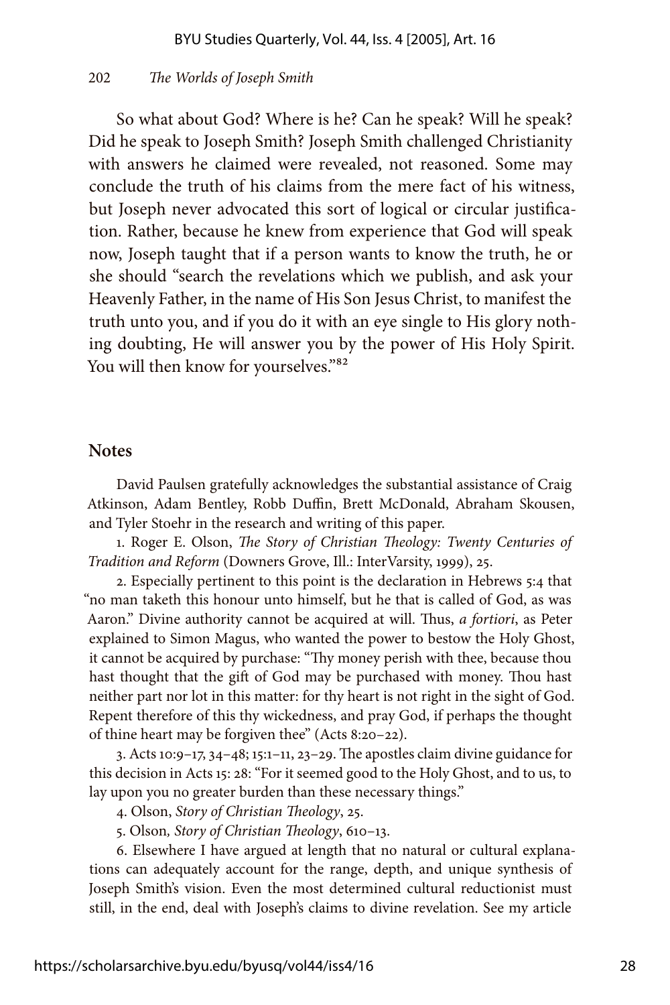So what about God? Where is he? Can he speak? Will he speak? Did he speak to Joseph Smith? Joseph Smith challenged Christianity with answers he claimed were revealed, not reasoned. Some may conclude the truth of his claims from the mere fact of his witness, but Joseph never advocated this sort of logical or circular justification. Rather, because he knew from experience that God will speak now, Joseph taught that if a person wants to know the truth, he or she should "search the revelations which we publish, and ask your Heavenly Father, in the name of His Son Jesus Christ, to manifest the truth unto you, and if you do it with an eye single to His glory nothing doubting, He will answer you by the power of His Holy Spirit. You will then know for yourselves."<sup>82</sup>

### **Notes**

 David Paulsen gratefully acknowledges the substantial assistance of Craig Atkinson, Adam Bentley, Robb Duffin, Brett McDonald, Abraham Skousen, and Tyler Stoehr in the research and writing of this paper.

 . Roger E. Olson, *The Story of Christian Theology: Twenty Centuries of Tradition and Reform* (Downers Grove, Ill.: InterVarsity, 999), 25.

 2. Especially pertinent to this point is the declaration in Hebrews 5:4 that "no man taketh this honour unto himself, but he that is called of God, as was Aaron." Divine authority cannot be acquired at will. Thus, *a fortiori*, as Peter explained to Simon Magus, who wanted the power to bestow the Holy Ghost, it cannot be acquired by purchase: "Thy money perish with thee, because thou hast thought that the gift of God may be purchased with money. Thou hast neither part nor lot in this matter: for thy heart is not right in the sight of God. Repent therefore of this thy wickedness, and pray God, if perhaps the thought of thine heart may be forgiven thee" (Acts 8:20–22).

3. Acts 10:9–17, 34–48; 15:1–11, 23–29. The apostles claim divine guidance for this decision in Acts 15: 28: "For it seemed good to the Holy Ghost, and to us, to lay upon you no greater burden than these necessary things."

4. Olson, *Story of Christian Theology*, 25.

5. Olson*, Story of Christian Theology*, 60–3.

 6. Elsewhere I have argued at length that no natural or cultural explanations can adequately account for the range, depth, and unique synthesis of Joseph Smith's vision. Even the most determined cultural reductionist must still, in the end, deal with Joseph's claims to divine revelation. See my article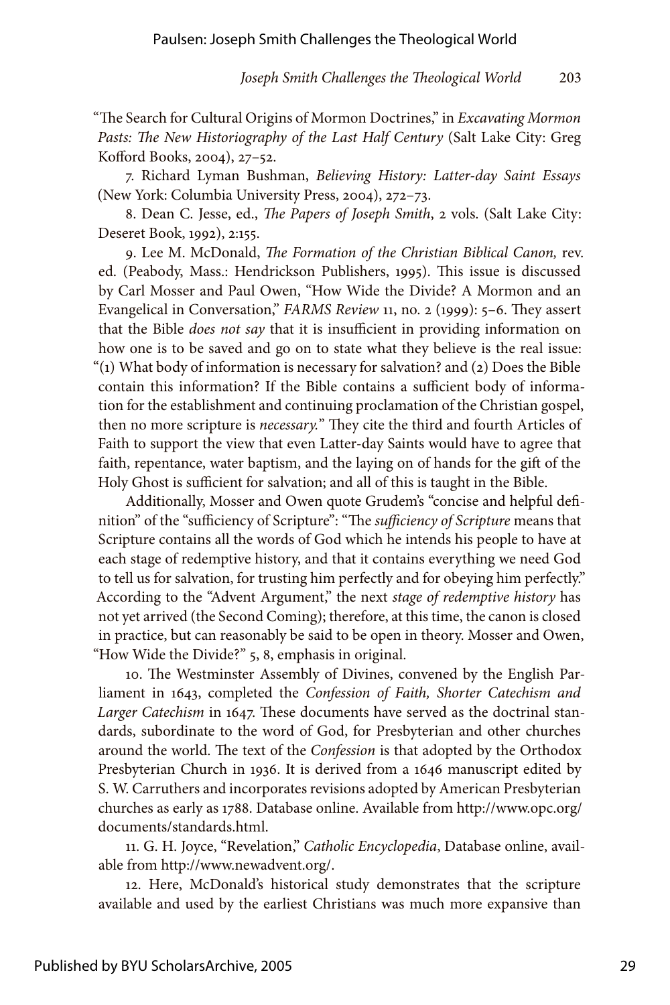"The Search for Cultural Origins of Mormon Doctrines," in *Excavating Mormon Pasts: The New Historiography of the Last Half Century* (Salt Lake City: Greg Kofford Books, 2004), 27–52.

 7. Richard Lyman Bushman, *Believing History: Latter-day Saint Essays* (New York: Columbia University Press, 2004), 272–73.

 8. Dean C. Jesse, ed., *The Papers of Joseph Smith*, 2 vols. (Salt Lake City: Deseret Book, 1992), 2:155.

 9. Lee M. McDonald, *The Formation of the Christian Biblical Canon,* rev. ed. (Peabody, Mass.: Hendrickson Publishers, 995). This issue is discussed by Carl Mosser and Paul Owen, "How Wide the Divide? A Mormon and an Evangelical in Conversation," *FARMS Review* 11, no. 2 (1999): 5–6. They assert that the Bible *does not say* that it is insufficient in providing information on how one is to be saved and go on to state what they believe is the real issue: "(1) What body of information is necessary for salvation? and  $(2)$  Does the Bible contain this information? If the Bible contains a sufficient body of information for the establishment and continuing proclamation of the Christian gospel, then no more scripture is *necessary.*" They cite the third and fourth Articles of Faith to support the view that even Latter-day Saints would have to agree that faith, repentance, water baptism, and the laying on of hands for the gift of the Holy Ghost is sufficient for salvation; and all of this is taught in the Bible.

 Additionally, Mosser and Owen quote Grudem's "concise and helpful definition" of the "sufficiency of Scripture": "The *sufficiency of Scripture* means that Scripture contains all the words of God which he intends his people to have at each stage of redemptive history, and that it contains everything we need God to tell us for salvation, for trusting him perfectly and for obeying him perfectly." According to the "Advent Argument," the next *stage of redemptive history* has not yet arrived (the Second Coming); therefore, at this time, the canon is closed in practice, but can reasonably be said to be open in theory. Mosser and Owen, "How Wide the Divide?" 5, 8, emphasis in original.

 0. The Westminster Assembly of Divines, convened by the English Parliament in 643, completed the *Confession of Faith, Shorter Catechism and*  Larger Catechism in 1647. These documents have served as the doctrinal standards, subordinate to the word of God, for Presbyterian and other churches around the world. The text of the *Confession* is that adopted by the Orthodox Presbyterian Church in 1936. It is derived from a 1646 manuscript edited by S. W. Carruthers and incorporates revisions adopted by American Presbyterian churches as early as 788. Database online. Available from http://www.opc.org/ documents/standards.html.

 . G. H. Joyce, "Revelation," *Catholic Encyclopedia*, Database online, available from http://www.newadvent.org/.

 2. Here, McDonald's historical study demonstrates that the scripture available and used by the earliest Christians was much more expansive than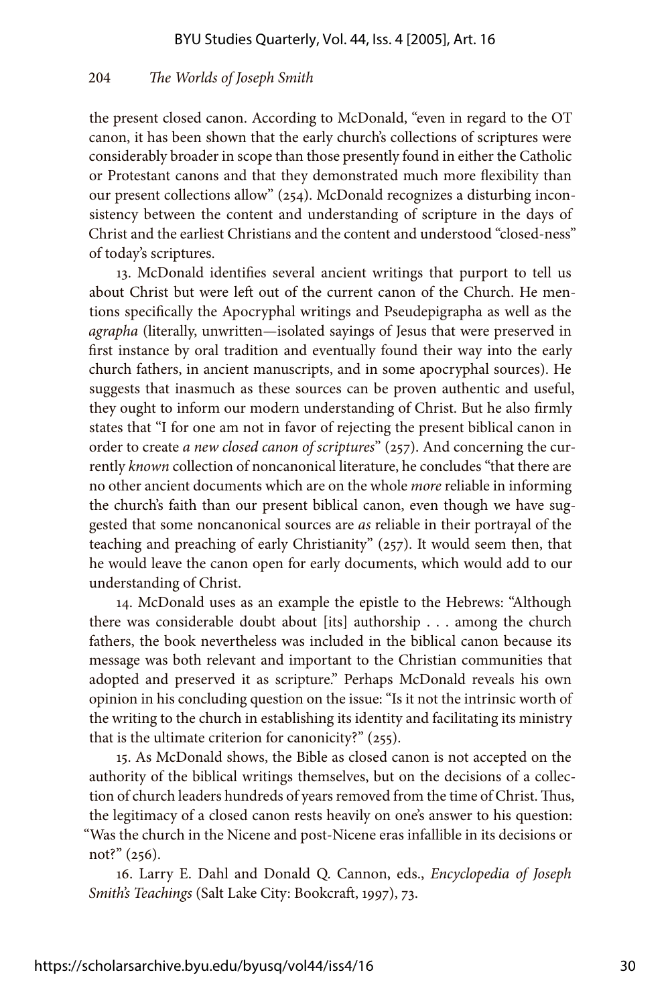the present closed canon. According to McDonald, "even in regard to the OT canon, it has been shown that the early church's collections of scriptures were considerably broader in scope than those presently found in either the Catholic or Protestant canons and that they demonstrated much more flexibility than our present collections allow" (254). McDonald recognizes a disturbing inconsistency between the content and understanding of scripture in the days of Christ and the earliest Christians and the content and understood "closed-ness" of today's scriptures.

 3. McDonald identifies several ancient writings that purport to tell us about Christ but were left out of the current canon of the Church. He mentions specifically the Apocryphal writings and Pseudepigrapha as well as the *agrapha* (literally, unwritten—isolated sayings of Jesus that were preserved in first instance by oral tradition and eventually found their way into the early church fathers, in ancient manuscripts, and in some apocryphal sources). He suggests that inasmuch as these sources can be proven authentic and useful, they ought to inform our modern understanding of Christ. But he also firmly states that "I for one am not in favor of rejecting the present biblical canon in order to create *a new closed canon of scriptures*" (257). And concerning the currently *known* collection of noncanonical literature, he concludes "that there are no other ancient documents which are on the whole *more* reliable in informing the church's faith than our present biblical canon, even though we have suggested that some noncanonical sources are *as* reliable in their portrayal of the teaching and preaching of early Christianity" (257). It would seem then, that he would leave the canon open for early documents, which would add to our understanding of Christ.

 4. McDonald uses as an example the epistle to the Hebrews: "Although there was considerable doubt about [its] authorship . . . among the church fathers, the book nevertheless was included in the biblical canon because its message was both relevant and important to the Christian communities that adopted and preserved it as scripture." Perhaps McDonald reveals his own opinion in his concluding question on the issue: "Is it not the intrinsic worth of the writing to the church in establishing its identity and facilitating its ministry that is the ultimate criterion for canonicity?" (255).

 5. As McDonald shows, the Bible as closed canon is not accepted on the authority of the biblical writings themselves, but on the decisions of a collection of church leaders hundreds of years removed from the time of Christ. Thus, the legitimacy of a closed canon rests heavily on one's answer to his question: "Was the church in the Nicene and post-Nicene eras infallible in its decisions or not?" (256).

 6. Larry E. Dahl and Donald Q. Cannon, eds., *Encyclopedia of Joseph*  Smith's Teachings (Salt Lake City: Bookcraft, 1997), 73.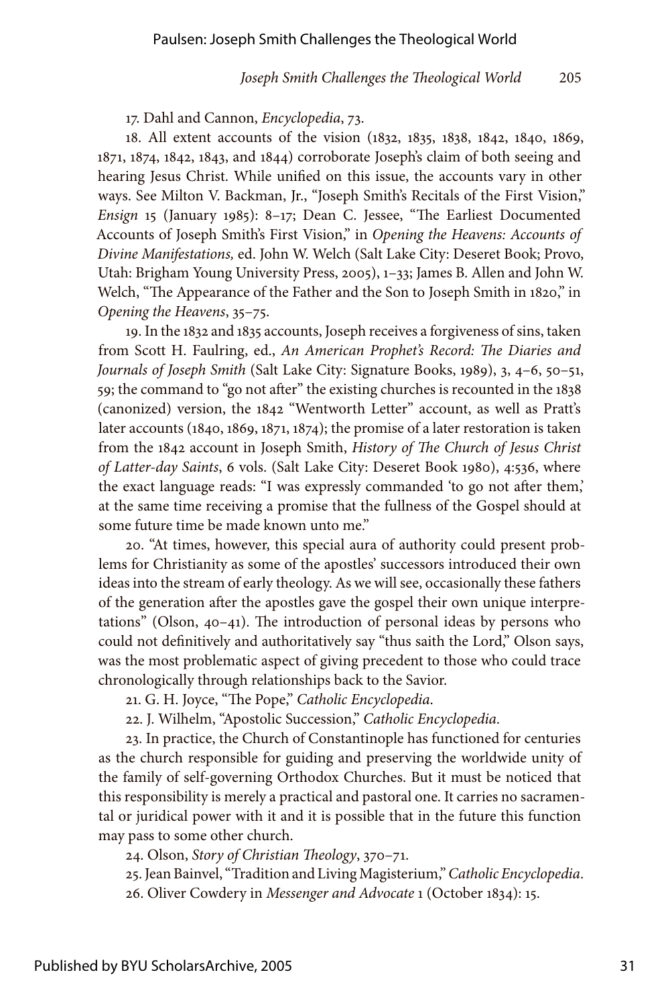#### *Joseph Smith Challenges the Theological World* 205

7. Dahl and Cannon, *Encyclopedia*, 73.

18. All extent accounts of the vision (1832, 1835, 1838, 1842, 1840, 1869, 1871, 1874, 1842, 1843, and 1844) corroborate Joseph's claim of both seeing and hearing Jesus Christ. While unified on this issue, the accounts vary in other ways. See Milton V. Backman, Jr., "Joseph Smith's Recitals of the First Vision," *Ensign* 15 (January 1985): 8-17; Dean C. Jessee, "The Earliest Documented Accounts of Joseph Smith's First Vision," in *Opening the Heavens: Accounts of Divine Manifestations,* ed. John W. Welch (Salt Lake City: Deseret Book; Provo, Utah: Brigham Young University Press, 2005), 1-33; James B. Allen and John W. Welch, "The Appearance of the Father and the Son to Joseph Smith in 1820," in *Opening the Heavens*, 35–75.

19. In the 1832 and 1835 accounts, Joseph receives a forgiveness of sins, taken from Scott H. Faulring, ed., *An American Prophet's Record: The Diaries and Journals of Joseph Smith* (Salt Lake City: Signature Books, 1989), 3, 4-6, 50-51, 59; the command to "go not after" the existing churches is recounted in the 1838 (canonized) version, the 1842 "Wentworth Letter" account, as well as Pratt's later accounts (1840, 1869, 1871, 1874); the promise of a later restoration is taken from the 842 account in Joseph Smith, *History of The Church of Jesus Christ of Latter-day Saints*, 6 vols. (Salt Lake City: Deseret Book 980), 4:536, where the exact language reads: "I was expressly commanded 'to go not after them,' at the same time receiving a promise that the fullness of the Gospel should at some future time be made known unto me."

 20. "At times, however, this special aura of authority could present problems for Christianity as some of the apostles' successors introduced their own ideas into the stream of early theology. As we will see, occasionally these fathers of the generation after the apostles gave the gospel their own unique interpretations" (Olson, 40–4). The introduction of personal ideas by persons who could not definitively and authoritatively say "thus saith the Lord," Olson says, was the most problematic aspect of giving precedent to those who could trace chronologically through relationships back to the Savior.

2. G. H. Joyce, "The Pope," *Catholic Encyclopedia*.

22. J. Wilhelm, "Apostolic Succession," *Catholic Encyclopedia*.

 23. In practice, the Church of Constantinople has functioned for centuries as the church responsible for guiding and preserving the worldwide unity of the family of self-governing Orthodox Churches. But it must be noticed that this responsibility is merely a practical and pastoral one. It carries no sacramental or juridical power with it and it is possible that in the future this function may pass to some other church.

24. Olson, *Story of Christian Theology*, 370–7.

25. Jean Bainvel, "Tradition and Living Magisterium," *Catholic Encyclopedia*.

26. Oliver Cowdery in *Messenger and Advocate* (October 834): 5.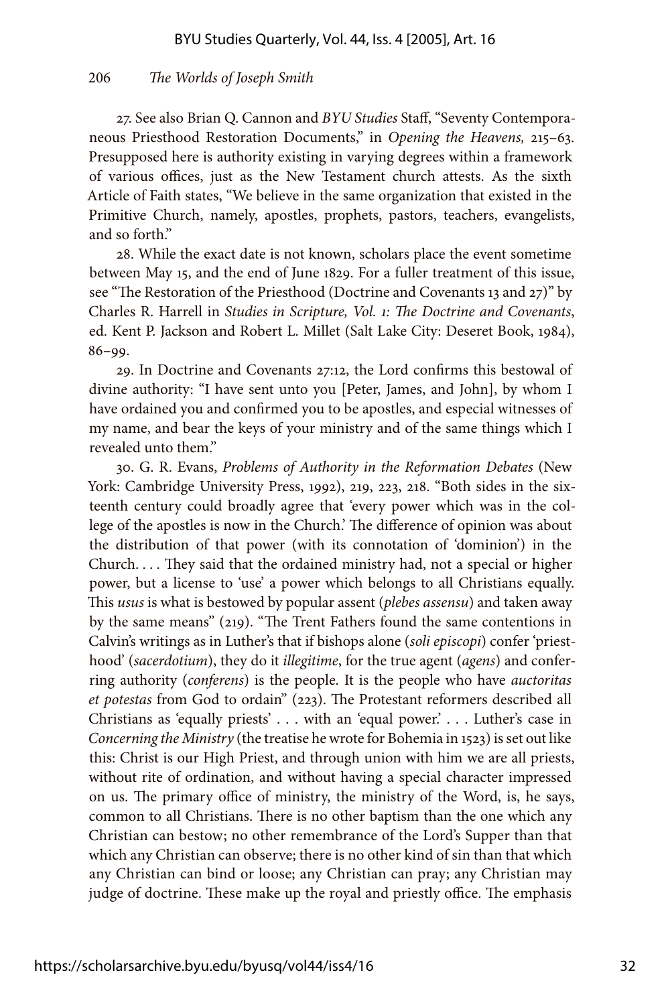27. See also Brian Q. Cannon and *BYU Studies* Staff, "Seventy Contemporaneous Priesthood Restoration Documents," in *Opening the Heavens,* 25–63. Presupposed here is authority existing in varying degrees within a framework of various offices, just as the New Testament church attests. As the sixth Article of Faith states, "We believe in the same organization that existed in the Primitive Church, namely, apostles, prophets, pastors, teachers, evangelists, and so forth."

 28. While the exact date is not known, scholars place the event sometime between May 15, and the end of June 1829. For a fuller treatment of this issue, see "The Restoration of the Priesthood (Doctrine and Covenants 13 and 27)" by Charles R. Harrell in *Studies in Scripture, Vol. : The Doctrine and Covenants*, ed. Kent P. Jackson and Robert L. Millet (Salt Lake City: Deseret Book, 1984), 86–99.

 29. In Doctrine and Covenants 27:2, the Lord confirms this bestowal of divine authority: "I have sent unto you [Peter, James, and John], by whom I have ordained you and confirmed you to be apostles, and especial witnesses of my name, and bear the keys of your ministry and of the same things which I revealed unto them."

 30. G. R. Evans, *Problems of Authority in the Reformation Debates* (New York: Cambridge University Press, 1992), 219, 223, 218. "Both sides in the sixteenth century could broadly agree that 'every power which was in the college of the apostles is now in the Church.' The difference of opinion was about the distribution of that power (with its connotation of 'dominion') in the Church. . . . They said that the ordained ministry had, not a special or higher power, but a license to 'use' a power which belongs to all Christians equally. This *usus* is what is bestowed by popular assent (*plebes assensu*) and taken away by the same means" (219). "The Trent Fathers found the same contentions in Calvin's writings as in Luther's that if bishops alone (*soli episcopi*) confer 'priesthood' (*sacerdotium*), they do it *illegitime*, for the true agent (*agens*) and conferring authority (*conferens*) is the people. It is the people who have *auctoritas et potestas* from God to ordain" (223). The Protestant reformers described all Christians as 'equally priests' . . . with an 'equal power.' . . . Luther's case in *Concerning the Ministry* (the treatise he wrote for Bohemia in 1523) is set out like this: Christ is our High Priest, and through union with him we are all priests, without rite of ordination, and without having a special character impressed on us. The primary office of ministry, the ministry of the Word, is, he says, common to all Christians. There is no other baptism than the one which any Christian can bestow; no other remembrance of the Lord's Supper than that which any Christian can observe; there is no other kind of sin than that which any Christian can bind or loose; any Christian can pray; any Christian may judge of doctrine. These make up the royal and priestly office. The emphasis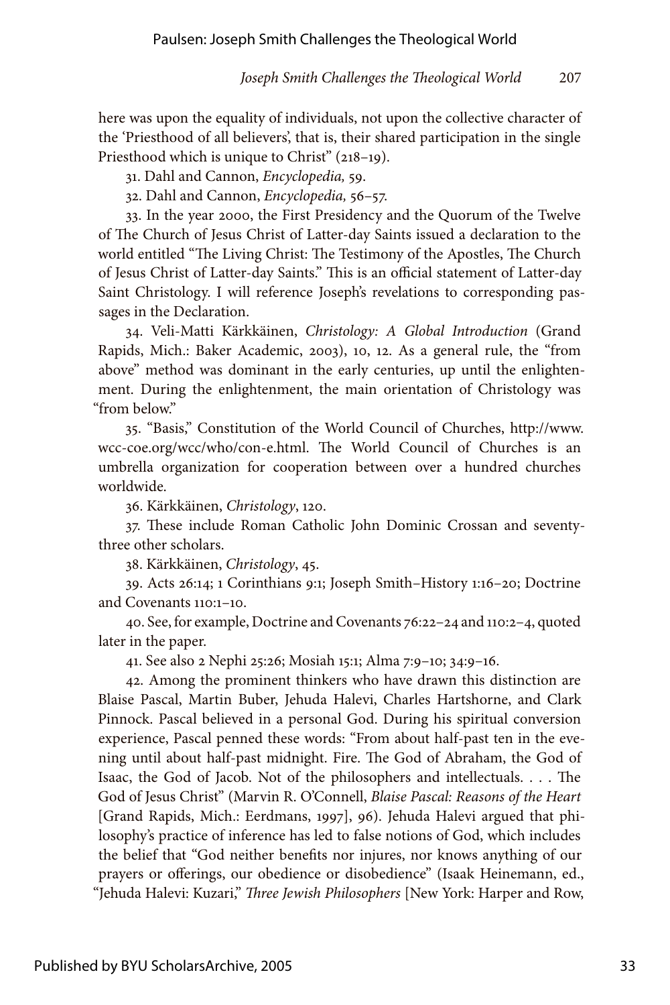here was upon the equality of individuals, not upon the collective character of the 'Priesthood of all believers', that is, their shared participation in the single Priesthood which is unique to Christ" (218-19).

3. Dahl and Cannon, *Encyclopedia,* 59.

32. Dahl and Cannon, *Encyclopedia,* 56–57.

 33. In the year 2000, the First Presidency and the Quorum of the Twelve of The Church of Jesus Christ of Latter-day Saints issued a declaration to the world entitled "The Living Christ: The Testimony of the Apostles, The Church of Jesus Christ of Latter-day Saints." This is an official statement of Latter-day Saint Christology. I will reference Joseph's revelations to corresponding passages in the Declaration.

 34. Veli-Matti Kärkkäinen, *Christology: A Global Introduction* (Grand Rapids, Mich.: Baker Academic, 2003), 10, 12. As a general rule, the "from above" method was dominant in the early centuries, up until the enlightenment. During the enlightenment, the main orientation of Christology was "from below."

 35. "Basis," Constitution of the World Council of Churches, http://www. wcc-coe.org/wcc/who/con-e.html. The World Council of Churches is an umbrella organization for cooperation between over a hundred churches worldwide.

36. Kärkkäinen, Christology, 120.

 37. These include Roman Catholic John Dominic Crossan and seventythree other scholars.

38. Kärkkäinen, *Christology*, 45.

39. Acts 26:14; 1 Corinthians 9:1; Joseph Smith-History 1:16-20; Doctrine and Covenants 110:1-10.

40. See, for example, Doctrine and Covenants 76:22-24 and 110:2-4, quoted later in the paper.

41. See also 2 Nephi 25:26; Mosiah 15:1; Alma 7:9-10; 34:9-16.

 42. Among the prominent thinkers who have drawn this distinction are Blaise Pascal, Martin Buber, Jehuda Halevi, Charles Hartshorne, and Clark Pinnock. Pascal believed in a personal God. During his spiritual conversion experience, Pascal penned these words: "From about half-past ten in the evening until about half-past midnight. Fire. The God of Abraham, the God of Isaac, the God of Jacob. Not of the philosophers and intellectuals. . . . The God of Jesus Christ" (Marvin R. O'Connell, *Blaise Pascal: Reasons of the Heart* [Grand Rapids, Mich.: Eerdmans, 1997], 96). Jehuda Halevi argued that philosophy's practice of inference has led to false notions of God, which includes the belief that "God neither benefits nor injures, nor knows anything of our prayers or offerings, our obedience or disobedience" (Isaak Heinemann, ed., "Jehuda Halevi: Kuzari," *Three Jewish Philosophers* [New York: Harper and Row,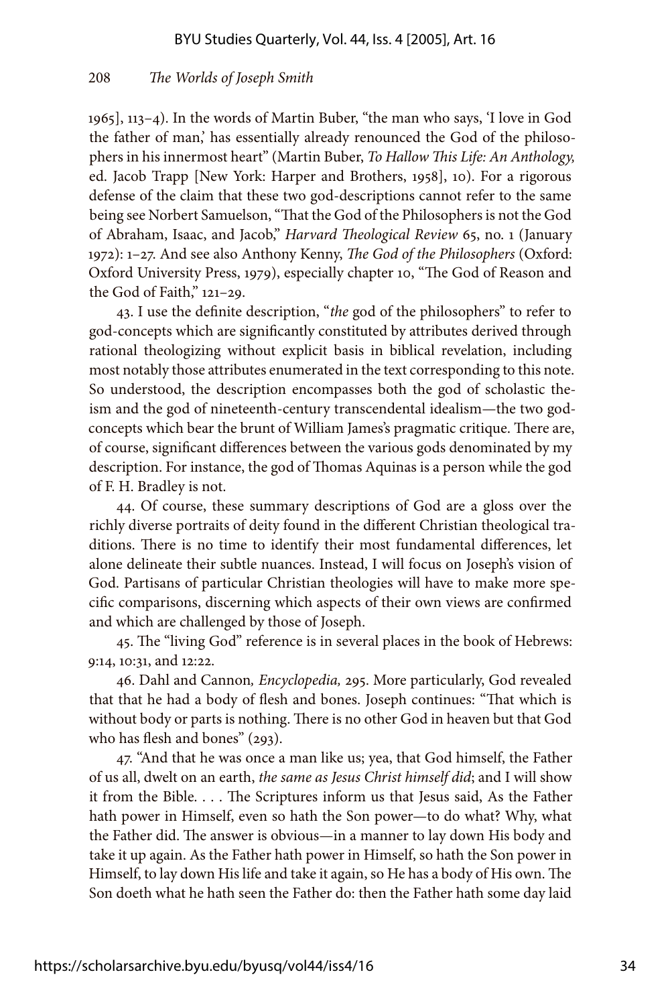965], 3–4). In the words of Martin Buber, "the man who says, 'I love in God the father of man,' has essentially already renounced the God of the philosophers in his innermost heart" (Martin Buber, *To Hallow This Life: An Anthology,*  ed. Jacob Trapp [New York: Harper and Brothers, 1958], 10). For a rigorous defense of the claim that these two god-descriptions cannot refer to the same being see Norbert Samuelson, "That the God of the Philosophers is not the God of Abraham, Isaac, and Jacob," *Harvard Theological Review* 65, no. (January 972): –27. And see also Anthony Kenny, *The God of the Philosophers* (Oxford: Oxford University Press, 1979), especially chapter 10, "The God of Reason and the God of Faith,"  $121-29$ .

 43. I use the definite description, "*the* god of the philosophers" to refer to god-concepts which are significantly constituted by attributes derived through rational theologizing without explicit basis in biblical revelation, including most notably those attributes enumerated in the text corresponding to this note. So understood, the description encompasses both the god of scholastic theism and the god of nineteenth-century transcendental idealism—the two godconcepts which bear the brunt of William James's pragmatic critique. There are, of course, significant differences between the various gods denominated by my description. For instance, the god of Thomas Aquinas is a person while the god of F. H. Bradley is not.

 44. Of course, these summary descriptions of God are a gloss over the richly diverse portraits of deity found in the different Christian theological traditions. There is no time to identify their most fundamental differences, let alone delineate their subtle nuances. Instead, I will focus on Joseph's vision of God. Partisans of particular Christian theologies will have to make more specific comparisons, discerning which aspects of their own views are confirmed and which are challenged by those of Joseph.

 45. The "living God" reference is in several places in the book of Hebrews: 9:14, 10:31, and 12:22.

 46. Dahl and Cannon*, Encyclopedia,* 295. More particularly, God revealed that that he had a body of flesh and bones. Joseph continues: "That which is without body or parts is nothing. There is no other God in heaven but that God who has flesh and bones" (293).

 47. "And that he was once a man like us; yea, that God himself, the Father of us all, dwelt on an earth, *the same as Jesus Christ himself did*; and I will show it from the Bible. . . . The Scriptures inform us that Jesus said, As the Father hath power in Himself, even so hath the Son power—to do what? Why, what the Father did. The answer is obvious—in a manner to lay down His body and take it up again. As the Father hath power in Himself, so hath the Son power in Himself, to lay down His life and take it again, so He has a body of His own. The Son doeth what he hath seen the Father do: then the Father hath some day laid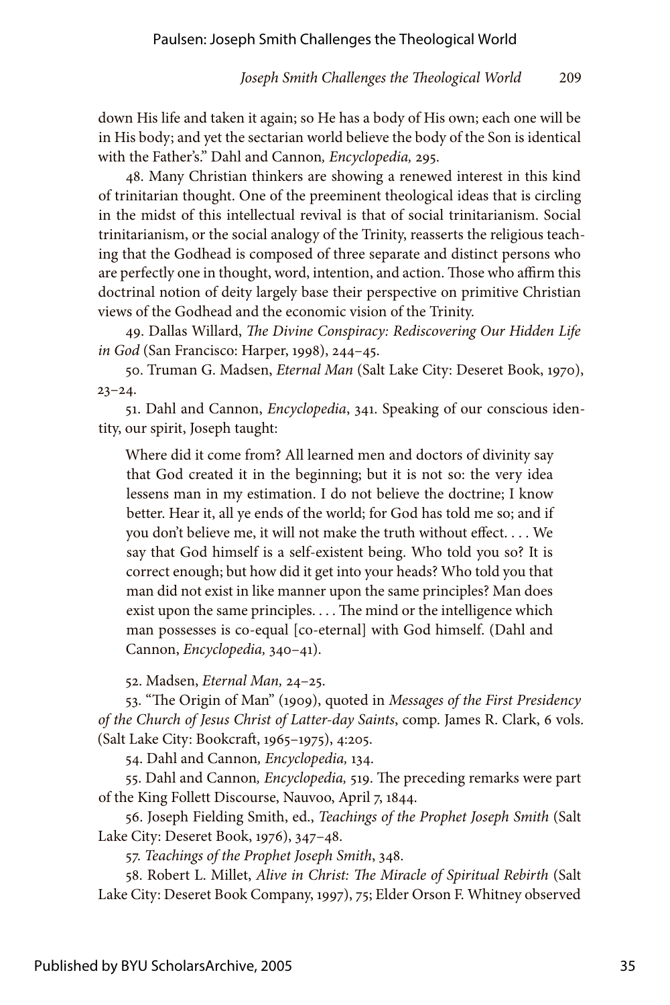down His life and taken it again; so He has a body of His own; each one will be in His body; and yet the sectarian world believe the body of the Son is identical with the Father's." Dahl and Cannon*, Encyclopedia,* 295.

 48. Many Christian thinkers are showing a renewed interest in this kind of trinitarian thought. One of the preeminent theological ideas that is circling in the midst of this intellectual revival is that of social trinitarianism. Social trinitarianism, or the social analogy of the Trinity, reasserts the religious teaching that the Godhead is composed of three separate and distinct persons who are perfectly one in thought, word, intention, and action. Those who affirm this doctrinal notion of deity largely base their perspective on primitive Christian views of the Godhead and the economic vision of the Trinity.

 49. Dallas Willard, *The Divine Conspiracy: Rediscovering Our Hidden Life in God* (San Francisco: Harper, 1998), 244-45.

50. Truman G. Madsen, *Eternal Man* (Salt Lake City: Deseret Book, 1970),  $23 - 24.$ 

 5. Dahl and Cannon, *Encyclopedia*, 34. Speaking of our conscious identity, our spirit, Joseph taught:

Where did it come from? All learned men and doctors of divinity say that God created it in the beginning; but it is not so: the very idea lessens man in my estimation. I do not believe the doctrine; I know better. Hear it, all ye ends of the world; for God has told me so; and if you don't believe me, it will not make the truth without effect. . . . We say that God himself is a self-existent being. Who told you so? It is correct enough; but how did it get into your heads? Who told you that man did not exist in like manner upon the same principles? Man does exist upon the same principles. . . . The mind or the intelligence which man possesses is co-equal [co-eternal] with God himself. (Dahl and Cannon, *Encyclopedia,* 340–4).

52. Madsen, *Eternal Man,* 24–25.

 53. "The Origin of Man" (909), quoted in *Messages of the First Presidency of the Church of Jesus Christ of Latter-day Saints*, comp. James R. Clark, 6 vols. (Salt Lake City: Bookcraft, 1965-1975), 4:205.

54. Dahl and Cannon*, Encyclopedia,* 34.

 55. Dahl and Cannon*, Encyclopedia,* 59. The preceding remarks were part of the King Follett Discourse, Nauvoo, April 7, 1844.

 56. Joseph Fielding Smith, ed., *Teachings of the Prophet Joseph Smith* (Salt Lake City: Deseret Book, 1976), 347-48.

57. *Teachings of the Prophet Joseph Smith*, 348.

 58. Robert L. Millet, *Alive in Christ: The Miracle of Spiritual Rebirth* (Salt Lake City: Deseret Book Company, 997), 75; Elder Orson F. Whitney observed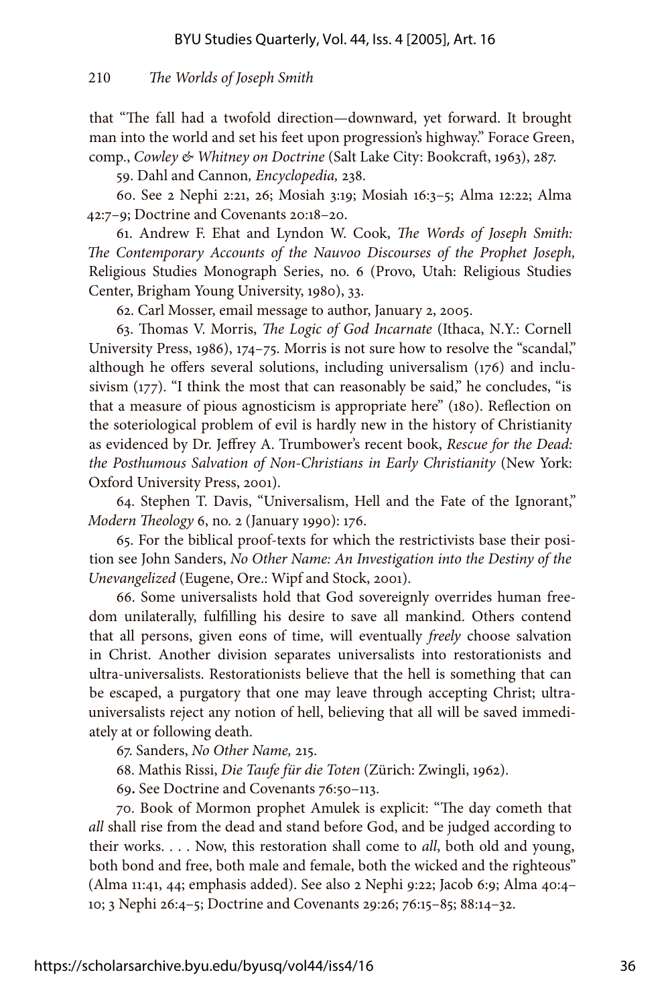that "The fall had a twofold direction—downward, yet forward. It brought man into the world and set his feet upon progression's highway." Forace Green, comp., *Cowley & Whitney on Doctrine* (Salt Lake City: Bookcraft, 1963), 287.

59. Dahl and Cannon*, Encyclopedia,* 238.

60. See 2 Nephi 2:21, 26; Mosiah 3:19; Mosiah 16:3-5; Alma 12:22; Alma 42:7–9; Doctrine and Covenants 20:8–20.

 6. Andrew F. Ehat and Lyndon W. Cook, *The Words of Joseph Smith: The Contemporary Accounts of the Nauvoo Discourses of the Prophet Joseph,* Religious Studies Monograph Series, no. 6 (Provo, Utah: Religious Studies Center, Brigham Young University, 1980), 33.

62. Carl Mosser, email message to author, January 2, 2005.

 63. Thomas V. Morris, *The Logic of God Incarnate* (Ithaca, N.Y.: Cornell University Press, 1986), 174-75. Morris is not sure how to resolve the "scandal," although he offers several solutions, including universalism (176) and inclusivism  $(177)$ . "I think the most that can reasonably be said," he concludes, "is that a measure of pious agnosticism is appropriate here" (180). Reflection on the soteriological problem of evil is hardly new in the history of Christianity as evidenced by Dr. Jeffrey A. Trumbower's recent book, *Rescue for the Dead: the Posthumous Salvation of Non-Christians in Early Christianity* (New York: Oxford University Press, 200).

 64. Stephen T. Davis, "Universalism, Hell and the Fate of the Ignorant," *Modern Theology* 6, no. 2 (January 1990): 176.

 65. For the biblical proof-texts for which the restrictivists base their position see John Sanders, *No Other Name: An Investigation into the Destiny of the Unevangelized* (Eugene, Ore.: Wipf and Stock, 200).

 66. Some universalists hold that God sovereignly overrides human freedom unilaterally, fulfilling his desire to save all mankind. Others contend that all persons, given eons of time, will eventually *freely* choose salvation in Christ. Another division separates universalists into restorationists and ultra-universalists. Restorationists believe that the hell is something that can be escaped, a purgatory that one may leave through accepting Christ; ultrauniversalists reject any notion of hell, believing that all will be saved immediately at or following death.

67. Sanders, *No Other Name,* 25.

68. Mathis Rissi, *Die Taufe für die Toten* (Zürich: Zwingli, 962).

69. See Doctrine and Covenants 76:50-113.

 70. Book of Mormon prophet Amulek is explicit: "The day cometh that *all* shall rise from the dead and stand before God, and be judged according to their works. . . . Now, this restoration shall come to *all*, both old and young, both bond and free, both male and female, both the wicked and the righteous" (Alma 11:41, 44; emphasis added). See also 2 Nephi 9:22; Jacob 6:9; Alma 40:4-0; 3 Nephi 26:4–5; Doctrine and Covenants 29:26; 76:5–85; 88:4–32.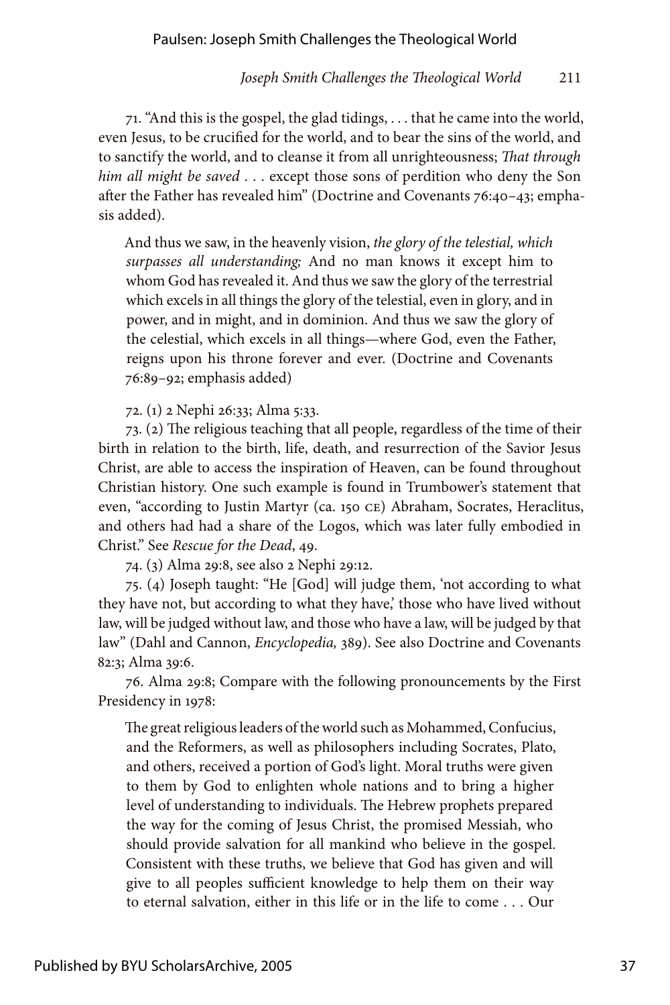7. "And this is the gospel, the glad tidings, . . . that he came into the world, even Jesus, to be crucified for the world, and to bear the sins of the world, and to sanctify the world, and to cleanse it from all unrighteousness; *That through him all might be saved* . . . except those sons of perdition who deny the Son after the Father has revealed him" (Doctrine and Covenants 76:40–43; emphasis added).

And thus we saw, in the heavenly vision, *the glory of the telestial, which surpasses all understanding;* And no man knows it except him to whom God has revealed it. And thus we saw the glory of the terrestrial which excels in all things the glory of the telestial, even in glory, and in power, and in might, and in dominion. And thus we saw the glory of the celestial, which excels in all things—where God, even the Father, reigns upon his throne forever and ever. (Doctrine and Covenants 76:89–92; emphasis added)

72. () 2 Nephi 26:33; Alma 5:33.

 73. (2) The religious teaching that all people, regardless of the time of their birth in relation to the birth, life, death, and resurrection of the Savior Jesus Christ, are able to access the inspiration of Heaven, can be found throughout Christian history. One such example is found in Trumbower's statement that even, "according to Justin Martyr (ca. 50 ce) Abraham, Socrates, Heraclitus, and others had had a share of the Logos, which was later fully embodied in Christ." See *Rescue for the Dead*, 49.

74. (3) Alma 29:8, see also 2 Nephi 29:2.

 75. (4) Joseph taught: "He [God] will judge them, 'not according to what they have not, but according to what they have,' those who have lived without law, will be judged without law, and those who have a law, will be judged by that law" (Dahl and Cannon, *Encyclopedia,* 389). See also Doctrine and Covenants 82:3; Alma 39:6.

 76. Alma 29:8; Compare with the following pronouncements by the First Presidency in 1978:

The great religious leaders of the world such as Mohammed, Confucius, and the Reformers, as well as philosophers including Socrates, Plato, and others, received a portion of God's light. Moral truths were given to them by God to enlighten whole nations and to bring a higher level of understanding to individuals. The Hebrew prophets prepared the way for the coming of Jesus Christ, the promised Messiah, who should provide salvation for all mankind who believe in the gospel. Consistent with these truths, we believe that God has given and will give to all peoples sufficient knowledge to help them on their way to eternal salvation, either in this life or in the life to come . . . Our